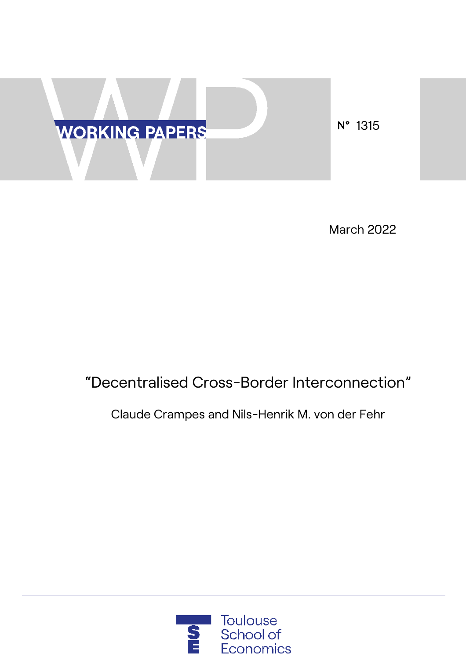

March 2022

# "Decentralised Cross-Border Interconnection"

Claude Crampes and Nils-Henrik M. von der Fehr

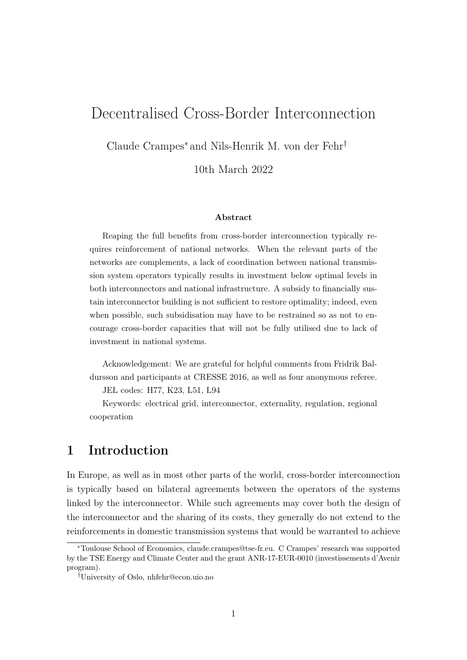# Decentralised Cross-Border Interconnection

Claude Crampes<sup>∗</sup> and Nils-Henrik M. von der Fehr†

10th March 2022

#### Abstract

Reaping the full benefits from cross-border interconnection typically requires reinforcement of national networks. When the relevant parts of the networks are complements, a lack of coordination between national transmission system operators typically results in investment below optimal levels in both interconnectors and national infrastructure. A subsidy to financially sustain interconnector building is not sufficient to restore optimality; indeed, even when possible, such subsidisation may have to be restrained so as not to encourage cross-border capacities that will not be fully utilised due to lack of investment in national systems.

Acknowledgement: We are grateful for helpful comments from Fridrik Baldursson and participants at CRESSE 2016, as well as four anonymous referee.

JEL codes: H77, K23, L51, L94

Keywords: electrical grid, interconnector, externality, regulation, regional cooperation

# 1 Introduction

In Europe, as well as in most other parts of the world, cross-border interconnection is typically based on bilateral agreements between the operators of the systems linked by the interconnector. While such agreements may cover both the design of the interconnector and the sharing of its costs, they generally do not extend to the reinforcements in domestic transmission systems that would be warranted to achieve

<sup>∗</sup>Toulouse School of Economics, claude.crampes@tse-fr.eu. C Crampes' research was supported by the TSE Energy and Climate Center and the grant ANR-17-EUR-0010 (investissements d'Avenir program).

<sup>†</sup>University of Oslo, nhfehr@econ.uio.no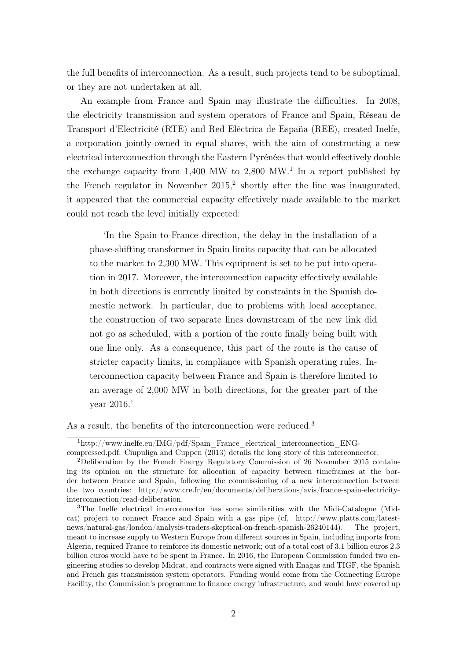the full benefits of interconnection. As a result, such projects tend to be suboptimal, or they are not undertaken at all.

An example from France and Spain may illustrate the difficulties. In 2008, the electricity transmission and system operators of France and Spain, Réseau de Transport d'Electricité (RTE) and Red Eléctrica de España (REE), created Inelfe, a corporation jointly-owned in equal shares, with the aim of constructing a new electrical interconnection through the Eastern Pyrénées that would effectively double the exchange capacity from  $1,400$  MW to  $2,800$  MW.<sup>1</sup> In a report published by the French regulator in November  $2015<sup>2</sup>$ , shortly after the line was inaugurated, it appeared that the commercial capacity effectively made available to the market could not reach the level initially expected:

'In the Spain-to-France direction, the delay in the installation of a phase-shifting transformer in Spain limits capacity that can be allocated to the market to 2,300 MW. This equipment is set to be put into operation in 2017. Moreover, the interconnection capacity effectively available in both directions is currently limited by constraints in the Spanish domestic network. In particular, due to problems with local acceptance, the construction of two separate lines downstream of the new link did not go as scheduled, with a portion of the route finally being built with one line only. As a consequence, this part of the route is the cause of stricter capacity limits, in compliance with Spanish operating rules. Interconnection capacity between France and Spain is therefore limited to an average of 2,000 MW in both directions, for the greater part of the year 2016.'

As a result, the benefits of the interconnection were reduced.<sup>3</sup>

 $1$ http://www.inelfe.eu/IMG/pdf/Spain France electrical interconnection ENG-

compressed.pdf. Ciupuliga and Cuppen (2013) details the long story of this interconnector.

<sup>2</sup>Deliberation by the French Energy Regulatory Commission of 26 November 2015 containing its opinion on the structure for allocation of capacity between timeframes at the border between France and Spain, following the commissioning of a new interconnection between the two countries: http://www.cre.fr/en/documents/deliberations/avis/france-spain-electricityinterconnection/read-deliberation.

<sup>3</sup>The Inelfe electrical interconnector has some similarities with the Midi-Catalogne (Midcat) project to connect France and Spain with a gas pipe (cf. http://www.platts.com/latestnews/natural-gas/london/analysis-traders-skeptical-on-french-spanish-26240144). The project, meant to increase supply to Western Europe from different sources in Spain, including imports from Algeria, required France to reinforce its domestic network; out of a total cost of 3.1 billion euros 2.3 billion euros would have to be spent in France. In 2016, the European Commission funded two engineering studies to develop Midcat, and contracts were signed with Enagas and TIGF, the Spanish and French gas transmission system operators. Funding would come from the Connecting Europe Facility, the Commission's programme to finance energy infrastructure, and would have covered up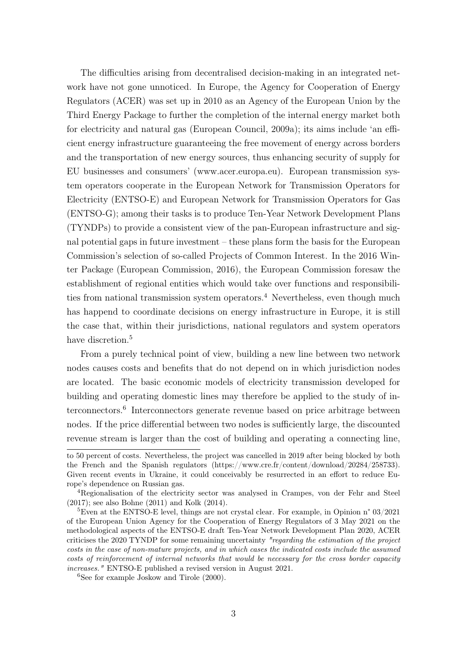The difficulties arising from decentralised decision-making in an integrated network have not gone unnoticed. In Europe, the Agency for Cooperation of Energy Regulators (ACER) was set up in 2010 as an Agency of the European Union by the Third Energy Package to further the completion of the internal energy market both for electricity and natural gas (European Council, 2009a); its aims include 'an efficient energy infrastructure guaranteeing the free movement of energy across borders and the transportation of new energy sources, thus enhancing security of supply for EU businesses and consumers' (www.acer.europa.eu). European transmission system operators cooperate in the European Network for Transmission Operators for Electricity (ENTSO-E) and European Network for Transmission Operators for Gas (ENTSO-G); among their tasks is to produce Ten-Year Network Development Plans (TYNDPs) to provide a consistent view of the pan-European infrastructure and signal potential gaps in future investment – these plans form the basis for the European Commission's selection of so-called Projects of Common Interest. In the 2016 Winter Package (European Commission, 2016), the European Commission foresaw the establishment of regional entities which would take over functions and responsibilities from national transmission system operators.<sup>4</sup> Nevertheless, even though much has happend to coordinate decisions on energy infrastructure in Europe, it is still the case that, within their jurisdictions, national regulators and system operators have discretion.<sup>5</sup>

From a purely technical point of view, building a new line between two network nodes causes costs and benefits that do not depend on in which jurisdiction nodes are located. The basic economic models of electricity transmission developed for building and operating domestic lines may therefore be applied to the study of interconnectors.<sup>6</sup> Interconnectors generate revenue based on price arbitrage between nodes. If the price differential between two nodes is sufficiently large, the discounted revenue stream is larger than the cost of building and operating a connecting line,

to 50 percent of costs. Nevertheless, the project was cancelled in 2019 after being blocked by both the French and the Spanish regulators (https://www.cre.fr/content/download/20284/258733). Given recent events in Ukraine, it could conceivably be resurrected in an effort to reduce Europe's dependence on Russian gas.

<sup>4</sup>Regionalisation of the electricity sector was analysed in Crampes, von der Fehr and Steel (2017); see also Bohne (2011) and Kolk (2014).

<sup>&</sup>lt;sup>5</sup>Even at the ENTSO-E level, things are not crystal clear. For example, in Opinion n°  $03/2021$ of the European Union Agency for the Cooperation of Energy Regulators of 3 May 2021 on the methodological aspects of the ENTSO-E draft Ten-Year Network Development Plan 2020, ACER criticises the 2020 TYNDP for some remaining uncertainty "regarding the estimation of the project costs in the case of non-mature projects, and in which cases the indicated costs include the assumed costs of reinforcement of internal networks that would be necessary for the cross border capacity increases." ENTSO-E published a revised version in August 2021.

 ${}^{6}$ See for example Joskow and Tirole (2000).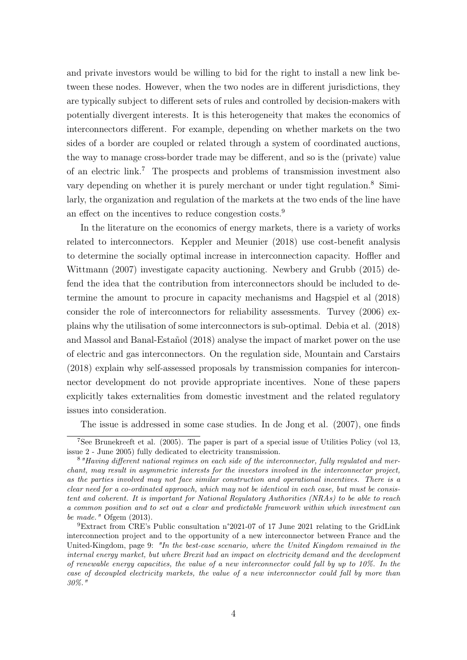and private investors would be willing to bid for the right to install a new link between these nodes. However, when the two nodes are in different jurisdictions, they are typically subject to different sets of rules and controlled by decision-makers with potentially divergent interests. It is this heterogeneity that makes the economics of interconnectors different. For example, depending on whether markets on the two sides of a border are coupled or related through a system of coordinated auctions, the way to manage cross-border trade may be different, and so is the (private) value of an electric link.<sup>7</sup> The prospects and problems of transmission investment also vary depending on whether it is purely merchant or under tight regulation.<sup>8</sup> Similarly, the organization and regulation of the markets at the two ends of the line have an effect on the incentives to reduce congestion costs.<sup>9</sup>

In the literature on the economics of energy markets, there is a variety of works related to interconnectors. Keppler and Meunier (2018) use cost-benefit analysis to determine the socially optimal increase in interconnection capacity. Hoffler and Wittmann (2007) investigate capacity auctioning. Newbery and Grubb (2015) defend the idea that the contribution from interconnectors should be included to determine the amount to procure in capacity mechanisms and Hagspiel et al (2018) consider the role of interconnectors for reliability assessments. Turvey (2006) explains why the utilisation of some interconnectors is sub-optimal. Debia et al. (2018) and Massol and Banal-Estañol (2018) analyse the impact of market power on the use of electric and gas interconnectors. On the regulation side, Mountain and Carstairs (2018) explain why self-assessed proposals by transmission companies for interconnector development do not provide appropriate incentives. None of these papers explicitly takes externalities from domestic investment and the related regulatory issues into consideration.

The issue is addressed in some case studies. In de Jong et al. (2007), one finds

<sup>7</sup>See Brunekreeft et al. (2005). The paper is part of a special issue of Utilities Policy (vol 13, issue 2 - June 2005) fully dedicated to electricity transmission.

<sup>8</sup>"Having different national regimes on each side of the interconnector, fully regulated and merchant, may result in asymmetric interests for the investors involved in the interconnector project, as the parties involved may not face similar construction and operational incentives. There is a clear need for a co-ordinated approach, which may not be identical in each case, but must be consistent and coherent. It is important for National Regulatory Authorities (NRAs) to be able to reach a common position and to set out a clear and predictable framework within which investment can be made." Ofgem  $(2013)$ .

<sup>9</sup>Extract from CRE's Public consultation n°2021-07 of 17 June 2021 relating to the GridLink interconnection project and to the opportunity of a new interconnector between France and the United-Kingdom, page 9: "In the best-case scenario, where the United Kingdom remained in the internal energy market, but where Brexit had an impact on electricity demand and the development of renewable energy capacities, the value of a new interconnector could fall by up to  $10\%$ . In the case of decoupled electricity markets, the value of a new interconnector could fall by more than 30%."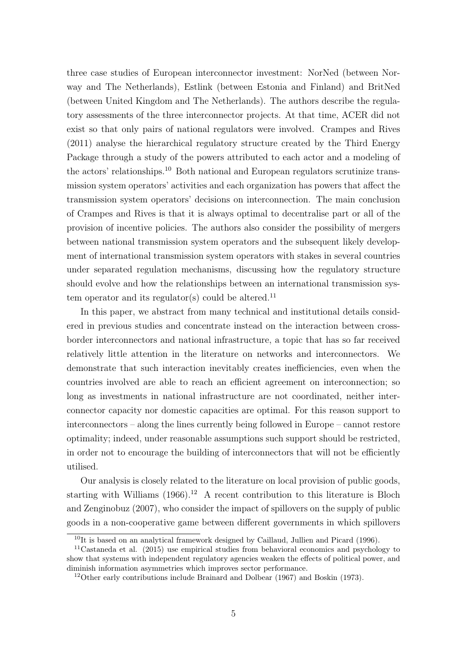three case studies of European interconnector investment: NorNed (between Norway and The Netherlands), Estlink (between Estonia and Finland) and BritNed (between United Kingdom and The Netherlands). The authors describe the regulatory assessments of the three interconnector projects. At that time, ACER did not exist so that only pairs of national regulators were involved. Crampes and Rives (2011) analyse the hierarchical regulatory structure created by the Third Energy Package through a study of the powers attributed to each actor and a modeling of the actors' relationships.<sup>10</sup> Both national and European regulators scrutinize transmission system operators' activities and each organization has powers that affect the transmission system operators' decisions on interconnection. The main conclusion of Crampes and Rives is that it is always optimal to decentralise part or all of the provision of incentive policies. The authors also consider the possibility of mergers between national transmission system operators and the subsequent likely development of international transmission system operators with stakes in several countries under separated regulation mechanisms, discussing how the regulatory structure should evolve and how the relationships between an international transmission system operator and its regulator(s) could be altered.<sup>11</sup>

In this paper, we abstract from many technical and institutional details considered in previous studies and concentrate instead on the interaction between crossborder interconnectors and national infrastructure, a topic that has so far received relatively little attention in the literature on networks and interconnectors. We demonstrate that such interaction inevitably creates inefficiencies, even when the countries involved are able to reach an efficient agreement on interconnection; so long as investments in national infrastructure are not coordinated, neither interconnector capacity nor domestic capacities are optimal. For this reason support to interconnectors – along the lines currently being followed in Europe – cannot restore optimality; indeed, under reasonable assumptions such support should be restricted, in order not to encourage the building of interconnectors that will not be efficiently utilised.

Our analysis is closely related to the literature on local provision of public goods, starting with Williams  $(1966).^{12}$  A recent contribution to this literature is Bloch and Zenginobuz (2007), who consider the impact of spillovers on the supply of public goods in a non-cooperative game between different governments in which spillovers

<sup>&</sup>lt;sup>10</sup>It is based on an analytical framework designed by Caillaud, Jullien and Picard (1996).

<sup>11</sup>Castaneda et al. (2015) use empirical studies from behavioral economics and psychology to show that systems with independent regulatory agencies weaken the effects of political power, and diminish information asymmetries which improves sector performance.

<sup>&</sup>lt;sup>12</sup>Other early contributions include Brainard and Dolbear  $(1967)$  and Boskin (1973).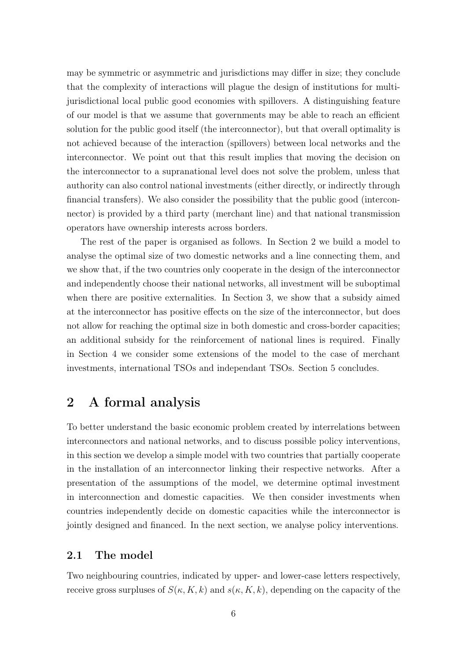may be symmetric or asymmetric and jurisdictions may differ in size; they conclude that the complexity of interactions will plague the design of institutions for multijurisdictional local public good economies with spillovers. A distinguishing feature of our model is that we assume that governments may be able to reach an efficient solution for the public good itself (the interconnector), but that overall optimality is not achieved because of the interaction (spillovers) between local networks and the interconnector. We point out that this result implies that moving the decision on the interconnector to a supranational level does not solve the problem, unless that authority can also control national investments (either directly, or indirectly through financial transfers). We also consider the possibility that the public good (interconnector) is provided by a third party (merchant line) and that national transmission operators have ownership interests across borders.

The rest of the paper is organised as follows. In Section 2 we build a model to analyse the optimal size of two domestic networks and a line connecting them, and we show that, if the two countries only cooperate in the design of the interconnector and independently choose their national networks, all investment will be suboptimal when there are positive externalities. In Section 3, we show that a subsidy aimed at the interconnector has positive effects on the size of the interconnector, but does not allow for reaching the optimal size in both domestic and cross-border capacities; an additional subsidy for the reinforcement of national lines is required. Finally in Section 4 we consider some extensions of the model to the case of merchant investments, international TSOs and independant TSOs. Section 5 concludes.

# 2 A formal analysis

To better understand the basic economic problem created by interrelations between interconnectors and national networks, and to discuss possible policy interventions, in this section we develop a simple model with two countries that partially cooperate in the installation of an interconnector linking their respective networks. After a presentation of the assumptions of the model, we determine optimal investment in interconnection and domestic capacities. We then consider investments when countries independently decide on domestic capacities while the interconnector is jointly designed and financed. In the next section, we analyse policy interventions.

### 2.1 The model

Two neighbouring countries, indicated by upper- and lower-case letters respectively, receive gross surpluses of  $S(\kappa, K, k)$  and  $s(\kappa, K, k)$ , depending on the capacity of the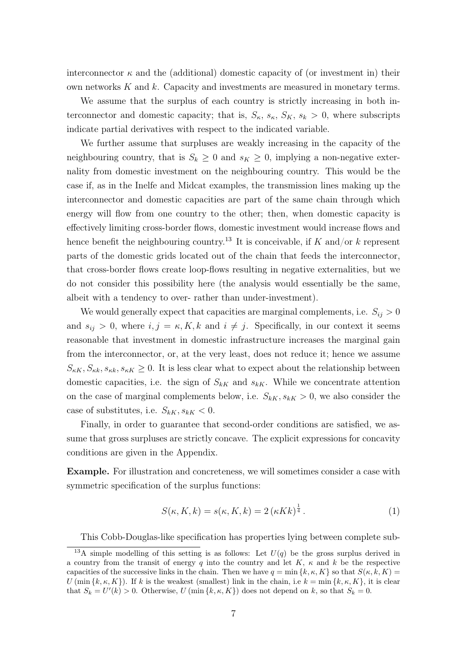interconnector  $\kappa$  and the (additional) domestic capacity of (or investment in) their own networks  $K$  and  $k$ . Capacity and investments are measured in monetary terms.

We assume that the surplus of each country is strictly increasing in both interconnector and domestic capacity; that is,  $S_{\kappa}$ ,  $S_{\kappa}$ ,  $S_{\kappa}$ ,  $S_{\kappa}$ ,  $S_{\kappa}$  > 0, where subscripts indicate partial derivatives with respect to the indicated variable.

We further assume that surpluses are weakly increasing in the capacity of the neighbouring country, that is  $S_k \geq 0$  and  $s_K \geq 0$ , implying a non-negative externality from domestic investment on the neighbouring country. This would be the case if, as in the Inelfe and Midcat examples, the transmission lines making up the interconnector and domestic capacities are part of the same chain through which energy will flow from one country to the other; then, when domestic capacity is effectively limiting cross-border flows, domestic investment would increase flows and hence benefit the neighbouring country.<sup>13</sup> It is conceivable, if K and/or k represent parts of the domestic grids located out of the chain that feeds the interconnector, that cross-border flows create loop-flows resulting in negative externalities, but we do not consider this possibility here (the analysis would essentially be the same, albeit with a tendency to over- rather than under-investment).

We would generally expect that capacities are marginal complements, i.e.  $S_{ij} > 0$ and  $s_{ij} > 0$ , where  $i, j = \kappa, K, k$  and  $i \neq j$ . Specifically, in our context it seems reasonable that investment in domestic infrastructure increases the marginal gain from the interconnector, or, at the very least, does not reduce it; hence we assume  $S_{\kappa K}$ ,  $S_{\kappa k}$ ,  $s_{\kappa K} \geq 0$ . It is less clear what to expect about the relationship between domestic capacities, i.e. the sign of  $S_{kK}$  and  $s_{kK}$ . While we concentrate attention on the case of marginal complements below, i.e.  $S_{kK}$ ,  $s_{kK} > 0$ , we also consider the case of substitutes, i.e.  $S_{kK}$ ,  $s_{kK}$  < 0.

Finally, in order to guarantee that second-order conditions are satisfied, we assume that gross surpluses are strictly concave. The explicit expressions for concavity conditions are given in the Appendix.

Example. For illustration and concreteness, we will sometimes consider a case with symmetric specification of the surplus functions:

$$
S(\kappa, K, k) = s(\kappa, K, k) = 2\left(\kappa K k\right)^{\frac{1}{4}}.
$$
 (1)

This Cobb-Douglas-like specification has properties lying between complete sub-

<sup>&</sup>lt;sup>13</sup>A simple modelling of this setting is as follows: Let  $U(q)$  be the gross surplus derived in a country from the transit of energy q into the country and let K,  $\kappa$  and k be the respective capacities of the successive links in the chain. Then we have  $q = \min\{k, \kappa, K\}$  so that  $S(\kappa, k, K) =$ U (min  $\{k, \kappa, K\}$ ). If k is the weakest (smallest) link in the chain, i.e  $k = \min \{k, \kappa, K\}$ , it is clear that  $S_k = U'(k) > 0$ . Otherwise,  $U(\min\{k, \kappa, K\})$  does not depend on k, so that  $S_k = 0$ .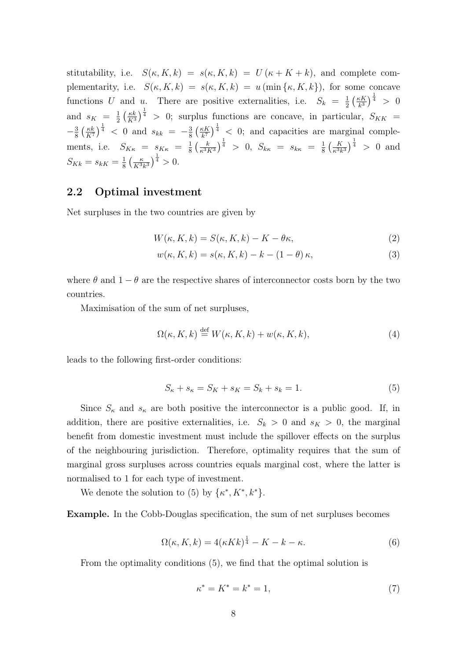stitutability, i.e.  $S(\kappa, K, k) = s(\kappa, K, k) = U(\kappa + K + k)$ , and complete complementarity, i.e.  $S(\kappa, K, k) = s(\kappa, K, k) = u \text{ (min } \{\kappa, K, k\}$ , for some concave functions U and u. There are positive externalities, i.e.  $S_k = \frac{1}{2}$  $rac{1}{2}$   $\left(\frac{\kappa K}{k^3}\right)$  $\frac{kK}{k^3}\Big)^{\frac{1}{4}}$  > 0 and  $s_K = \frac{1}{2}$  $\frac{1}{2} \left( \frac{\kappa k}{K^3} \right)$  $\frac{\kappa k}{K^3}\Big)^{\frac{1}{4}} > 0$ ; surplus functions are concave, in particular,  $S_{KK} =$  $-\frac{3}{8}$  $rac{3}{8} \left(\frac{\kappa k}{K^7}\right)$  $\frac{\kappa k}{K^7}$   $\Big)^{\frac{1}{4}}$  < 0 and  $s_{kk} = -\frac{3}{8}$  $rac{3}{8} \left(\frac{\kappa K}{k^7}\right)$  $\left(\frac{\kappa K}{k^7}\right)^{\frac{1}{4}} < 0$ ; and capacities are marginal complements, i.e.  $S_{K\kappa} = s_{K\kappa} = \frac{1}{8}$  $\frac{1}{8} \left( \frac{k}{\kappa^3 l} \right)$  $\left(\frac{k}{\kappa^3 K^3}\right)^{\frac{1}{4}} > 0, \ S_{k\kappa} = s_{k\kappa} = \frac{1}{8}$  $\frac{1}{8} \left( \frac{K}{\kappa^3 k^3} \right)^{\frac{1}{4}} > 0$  and  $S_{Kk} = s_{kK} = \frac{1}{8}$  $rac{1}{8} \left( \frac{\kappa}{K^3} \right)$  $\frac{\kappa}{K^3 k^3}$  $\frac{1}{4} > 0$ .

### 2.2 Optimal investment

Net surpluses in the two countries are given by

$$
W(\kappa, K, k) = S(\kappa, K, k) - K - \theta \kappa,
$$
\n(2)

$$
w(\kappa, K, k) = s(\kappa, K, k) - k - (1 - \theta)\kappa,
$$
\n(3)

where  $\theta$  and  $1 - \theta$  are the respective shares of interconnector costs born by the two countries.

Maximisation of the sum of net surpluses,

$$
\Omega(\kappa, K, k) \stackrel{\text{def}}{=} W(\kappa, K, k) + w(\kappa, K, k), \tag{4}
$$

leads to the following first-order conditions:

$$
S_{\kappa} + s_{\kappa} = S_K + s_K = S_k + s_k = 1.
$$
 (5)

Since  $S_{\kappa}$  and  $s_{\kappa}$  are both positive the interconnector is a public good. If, in addition, there are positive externalities, i.e.  $S_k > 0$  and  $s_K > 0$ , the marginal benefit from domestic investment must include the spillover effects on the surplus of the neighbouring jurisdiction. Therefore, optimality requires that the sum of marginal gross surpluses across countries equals marginal cost, where the latter is normalised to 1 for each type of investment.

We denote the solution to (5) by  $\{\kappa^*, K^*, k^*\}.$ 

Example. In the Cobb-Douglas specification, the sum of net surpluses becomes

$$
\Omega(\kappa, K, k) = 4(\kappa K k)^{\frac{1}{4}} - K - k - \kappa. \tag{6}
$$

From the optimality conditions (5), we find that the optimal solution is

$$
\kappa^* = K^* = k^* = 1,\t(7)
$$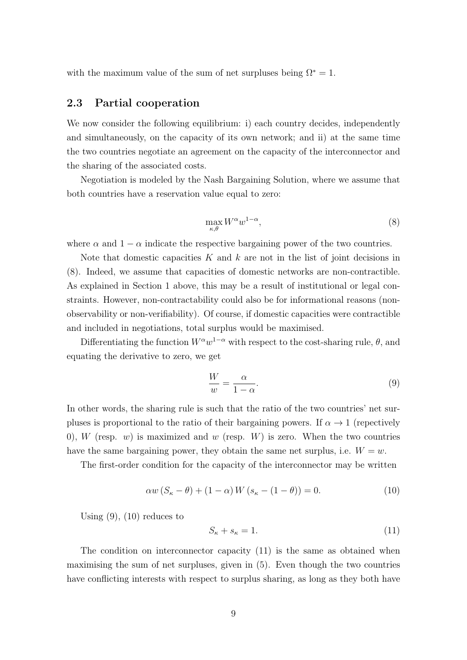with the maximum value of the sum of net surpluses being  $\Omega^* = 1$ .

### 2.3 Partial cooperation

We now consider the following equilibrium: i) each country decides, independently and simultaneously, on the capacity of its own network; and ii) at the same time the two countries negotiate an agreement on the capacity of the interconnector and the sharing of the associated costs.

Negotiation is modeled by the Nash Bargaining Solution, where we assume that both countries have a reservation value equal to zero:

$$
\max_{\kappa,\theta} W^{\alpha} w^{1-\alpha},\tag{8}
$$

where  $\alpha$  and  $1 - \alpha$  indicate the respective bargaining power of the two countries.

Note that domestic capacities  $K$  and  $k$  are not in the list of joint decisions in (8). Indeed, we assume that capacities of domestic networks are non-contractible. As explained in Section 1 above, this may be a result of institutional or legal constraints. However, non-contractability could also be for informational reasons (nonobservability or non-verifiability). Of course, if domestic capacities were contractible and included in negotiations, total surplus would be maximised.

Differentiating the function  $W^{\alpha}w^{1-\alpha}$  with respect to the cost-sharing rule,  $\theta$ , and equating the derivative to zero, we get

$$
\frac{W}{w} = \frac{\alpha}{1 - \alpha}.\tag{9}
$$

In other words, the sharing rule is such that the ratio of the two countries' net surpluses is proportional to the ratio of their bargaining powers. If  $\alpha \to 1$  (repectively 0), W (resp.  $w$ ) is maximized and  $w$  (resp.  $W$ ) is zero. When the two countries have the same bargaining power, they obtain the same net surplus, i.e.  $W = w$ .

The first-order condition for the capacity of the interconnector may be written

$$
\alpha w \left( S_{\kappa} - \theta \right) + \left( 1 - \alpha \right) W \left( s_{\kappa} - (1 - \theta) \right) = 0. \tag{10}
$$

Using  $(9)$ ,  $(10)$  reduces to

$$
S_{\kappa} + s_{\kappa} = 1. \tag{11}
$$

The condition on interconnector capacity (11) is the same as obtained when maximising the sum of net surpluses, given in (5). Even though the two countries have conflicting interests with respect to surplus sharing, as long as they both have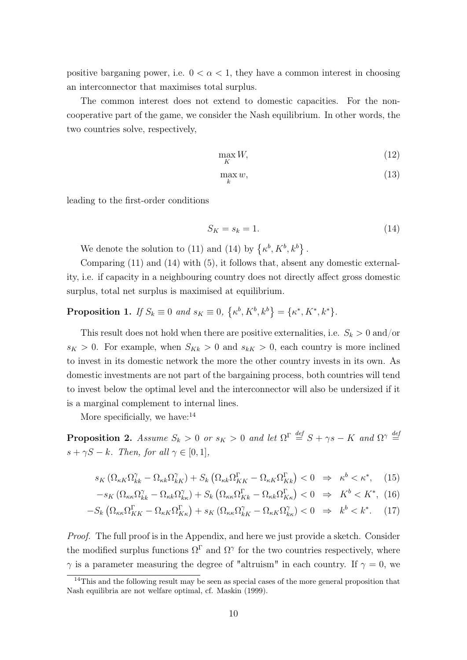positive barganing power, i.e.  $0 < \alpha < 1$ , they have a common interest in choosing an interconnector that maximises total surplus.

The common interest does not extend to domestic capacities. For the noncooperative part of the game, we consider the Nash equilibrium. In other words, the two countries solve, respectively,

$$
\max_{K} W,\tag{12}
$$

$$
\max_{k} w,\tag{13}
$$

leading to the first-order conditions

$$
S_K = s_k = 1.\t\t(14)
$$

We denote the solution to (11) and (14) by  $\{\kappa^b, K^b, k^b\}.$ 

Comparing (11) and (14) with (5), it follows that, absent any domestic externality, i.e. if capacity in a neighbouring country does not directly affect gross domestic surplus, total net surplus is maximised at equilibrium.

**Proposition 1.** If  $S_k \equiv 0$  and  $s_K \equiv 0$ ,  $\{\kappa^b, K^b, k^b\} = \{\kappa^*, K^*, k^*\}.$ 

This result does not hold when there are positive externalities, i.e.  $S_k > 0$  and/or  $s_K > 0$ . For example, when  $S_{Kk} > 0$  and  $s_{k} > 0$ , each country is more inclined to invest in its domestic network the more the other country invests in its own. As domestic investments are not part of the bargaining process, both countries will tend to invest below the optimal level and the interconnector will also be undersized if it is a marginal complement to internal lines.

More specificially, we have: $14$ 

**Proposition 2.** Assume  $S_k > 0$  or  $s_K > 0$  and let  $\Omega^{\Gamma} \stackrel{def}{=} S + \gamma s - K$  and  $\Omega^{\gamma} \stackrel{def}{=}$  $s + \gamma S - k$ . Then, for all  $\gamma \in [0, 1]$ ,

$$
s_K\left(\Omega_{\kappa K}\Omega_{kk}^\gamma - \Omega_{\kappa k}\Omega_{kk}^\gamma\right) + S_k\left(\Omega_{\kappa k}\Omega_{KK}^\Gamma - \Omega_{\kappa K}\Omega_{kk}^\Gamma\right) < 0 \quad \Rightarrow \quad \kappa^b < \kappa^*, \tag{15}
$$

$$
-s_K \left( \Omega_{\kappa \kappa} \Omega_{k}^{\gamma} - \Omega_{\kappa k} \Omega_{k \kappa}^{\gamma} \right) + S_k \left( \Omega_{\kappa \kappa} \Omega_{Kk}^{\Gamma} - \Omega_{\kappa k} \Omega_{Kk}^{\Gamma} \right) < 0 \quad \Rightarrow \quad K^b < K^*, \tag{16}
$$

$$
-S_k \left( \Omega_{\kappa\kappa} \Omega_{KK}^{\Gamma} - \Omega_{\kappa K} \Omega_{K\kappa}^{\Gamma} \right) + s_K \left( \Omega_{\kappa\kappa} \Omega_{KK}^{\gamma} - \Omega_{\kappa K} \Omega_{K\kappa}^{\gamma} \right) < 0 \quad \Rightarrow \quad k^b < k^*.
$$

Proof. The full proof is in the Appendix, and here we just provide a sketch. Consider the modified surplus functions  $\Omega^{\Gamma}$  and  $\Omega^{\gamma}$  for the two countries respectively, where  $\gamma$  is a parameter measuring the degree of "altruism" in each country. If  $\gamma = 0$ , we

<sup>&</sup>lt;sup>14</sup>This and the following result may be seen as special cases of the more general proposition that Nash equilibria are not welfare optimal, cf. Maskin (1999).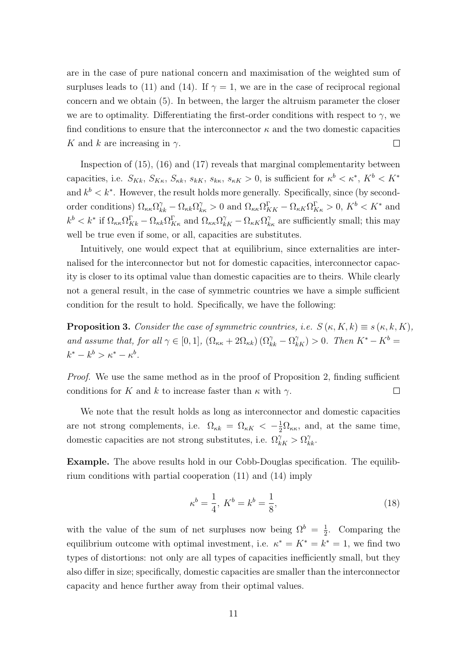are in the case of pure national concern and maximisation of the weighted sum of surpluses leads to (11) and (14). If  $\gamma = 1$ , we are in the case of reciprocal regional concern and we obtain (5). In between, the larger the altruism parameter the closer we are to optimality. Differentiating the first-order conditions with respect to  $\gamma$ , we find conditions to ensure that the interconnector  $\kappa$  and the two domestic capacities K and k are increasing in  $\gamma$ .  $\Box$ 

Inspection of (15), (16) and (17) reveals that marginal complementarity between capacities, i.e.  $S_{Kk}$ ,  $S_{Kk}$ ,  $S_{kk}$ ,  $s_{k}$ ,  $s_{k}$ ,  $s_{k}$ ,  $s_{k}$  > 0, is sufficient for  $\kappa^{b} < \kappa^{*}$ ,  $K^{b} < K^{*}$ and  $k^b < k^*$ . However, the result holds more generally. Specifically, since (by secondorder conditions)  $\Omega_{\kappa\kappa}\Omega_{kk}^{\gamma} - \Omega_{\kappa k}\Omega_{k\kappa}^{\gamma} > 0$  and  $\Omega_{\kappa\kappa}\Omega_{KK}^{\Gamma} - \Omega_{\kappa K}\Omega_{K\kappa}^{\Gamma} > 0$ ,  $K^{b} < K^{*}$  and  $k^b < k^*$  if  $\Omega_{\kappa\kappa} \Omega_{Kk}^{\Gamma} - \Omega_{\kappa k} \Omega_{K\kappa}^{\Gamma}$  and  $\Omega_{\kappa\kappa} \Omega_{kK}^{\gamma} - \Omega_{\kappa K} \Omega_{k\kappa}^{\gamma}$  are sufficiently small; this may well be true even if some, or all, capacities are substitutes.

Intuitively, one would expect that at equilibrium, since externalities are internalised for the interconnector but not for domestic capacities, interconnector capacity is closer to its optimal value than domestic capacities are to theirs. While clearly not a general result, in the case of symmetric countries we have a simple sufficient condition for the result to hold. Specifically, we have the following:

**Proposition 3.** Consider the case of symmetric countries, i.e.  $S(\kappa, K, k) \equiv s(\kappa, k, K)$ , and assume that, for all  $\gamma \in [0,1]$ ,  $(\Omega_{\kappa\kappa} + 2\Omega_{\kappa k}) (\Omega_{k\kappa}^{\gamma} - \Omega_{k\kappa}^{\gamma}) > 0$ . Then  $K^* - K^b =$  $k^* - k^b > \kappa^* - \kappa^b$ .

*Proof.* We use the same method as in the proof of Proposition 2, finding sufficient conditions for K and k to increase faster than  $\kappa$  with  $\gamma$ .  $\Box$ 

We note that the result holds as long as interconnector and domestic capacities are not strong complements, i.e.  $\Omega_{\kappa k} = \Omega_{\kappa K} < -\frac{1}{2}\Omega_{\kappa \kappa}$ , and, at the same time, domestic capacities are not strong substitutes, i.e.  $\Omega_{kk}^{\gamma} > \Omega_{kk}^{\gamma}$ .

Example. The above results hold in our Cobb-Douglas specification. The equilibrium conditions with partial cooperation (11) and (14) imply

$$
\kappa^b = \frac{1}{4}, \ K^b = k^b = \frac{1}{8}, \tag{18}
$$

with the value of the sum of net surpluses now being  $\Omega^b = \frac{1}{2}$  $\frac{1}{2}$ . Comparing the equilibrium outcome with optimal investment, i.e.  $\kappa^* = K^* = k^* = 1$ , we find two types of distortions: not only are all types of capacities inefficiently small, but they also differ in size; specifically, domestic capacities are smaller than the interconnector capacity and hence further away from their optimal values.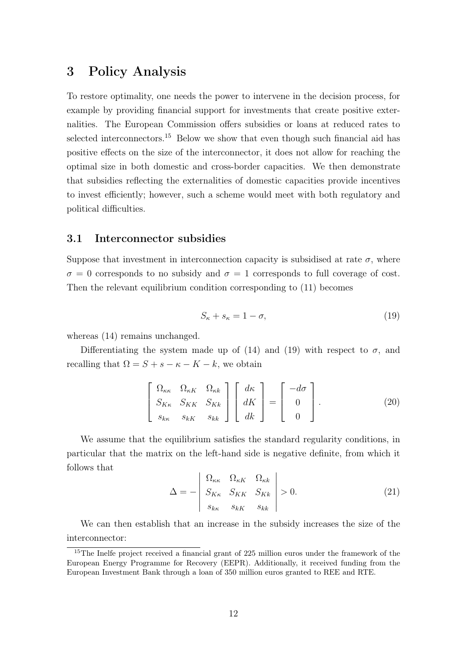# 3 Policy Analysis

To restore optimality, one needs the power to intervene in the decision process, for example by providing financial support for investments that create positive externalities. The European Commission offers subsidies or loans at reduced rates to selected interconnectors.<sup>15</sup> Below we show that even though such financial aid has positive effects on the size of the interconnector, it does not allow for reaching the optimal size in both domestic and cross-border capacities. We then demonstrate that subsidies reflecting the externalities of domestic capacities provide incentives to invest efficiently; however, such a scheme would meet with both regulatory and political difficulties.

### 3.1 Interconnector subsidies

Suppose that investment in interconnection capacity is subsidised at rate  $\sigma$ , where  $\sigma = 0$  corresponds to no subsidy and  $\sigma = 1$  corresponds to full coverage of cost. Then the relevant equilibrium condition corresponding to (11) becomes

$$
S_{\kappa} + s_{\kappa} = 1 - \sigma,\tag{19}
$$

whereas  $(14)$  remains unchanged.

Differentiating the system made up of (14) and (19) with respect to  $\sigma$ , and recalling that  $\Omega = S + s - \kappa - K - k$ , we obtain

$$
\begin{bmatrix}\n\Omega_{\kappa\kappa} & \Omega_{\kappa K} & \Omega_{\kappa k} \\
S_{K\kappa} & S_{K\kappa} & S_{K\kappa} \\
s_{k\kappa} & s_{k\kappa} & s_{k\kappa}\n\end{bmatrix}\n\begin{bmatrix}\nd\kappa \\
dK \\
dk\n\end{bmatrix} =\n\begin{bmatrix}\n-d\sigma \\
0 \\
0\n\end{bmatrix}.
$$
\n(20)

We assume that the equilibrium satisfies the standard regularity conditions, in particular that the matrix on the left-hand side is negative definite, from which it follows that

$$
\Delta = -\begin{vmatrix}\n\Omega_{\kappa\kappa} & \Omega_{\kappa K} & \Omega_{\kappa k} \\
S_{K\kappa} & S_{K K} & S_{K k} \\
s_{k\kappa} & s_{k K} & s_{k k}\n\end{vmatrix} > 0.
$$
\n(21)

We can then establish that an increase in the subsidy increases the size of the interconnector:

<sup>&</sup>lt;sup>15</sup>The Inelfe project received a financial grant of 225 million euros under the framework of the European Energy Programme for Recovery (EEPR). Additionally, it received funding from the European Investment Bank through a loan of 350 million euros granted to REE and RTE.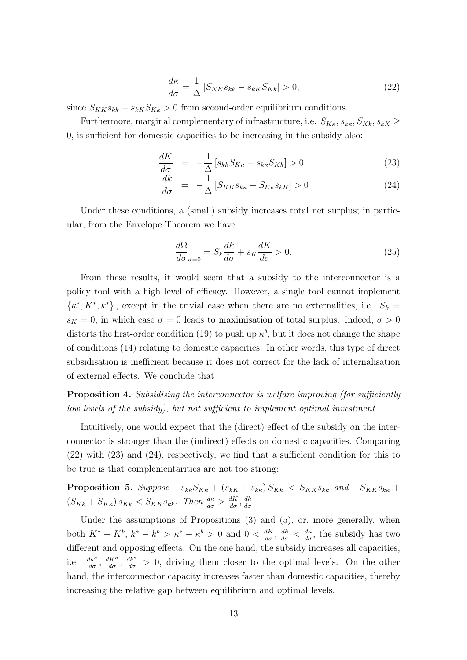$$
\frac{d\kappa}{d\sigma} = \frac{1}{\Delta} \left[ S_{KK} s_{kk} - s_{kk} S_{Kk} \right] > 0, \tag{22}
$$

since  $S_{KK} s_{kk} - s_{kk} S_{kk} > 0$  from second-order equilibrium conditions.

Furthermore, marginal complementary of infrastructure, i.e.  $S_{K_{\kappa}}, S_{K_{\kappa}}, S_{K_{\kappa}}, S_{K_{\kappa}} \geq$ 0, is sufficient for domestic capacities to be increasing in the subsidy also:

$$
\frac{dK}{d\sigma} = -\frac{1}{\Delta} \left[ s_{kk} S_{K\kappa} - s_{k\kappa} S_{Kk} \right] > 0 \tag{23}
$$

$$
\frac{dk}{d\sigma} = -\frac{1}{\Delta} \left[ S_{KK} s_{k\kappa} - S_{K\kappa} s_{k\kappa} \right] > 0 \tag{24}
$$

Under these conditions, a (small) subsidy increases total net surplus; in particular, from the Envelope Theorem we have

$$
\frac{d\Omega}{d\sigma}_{\sigma=0} = S_k \frac{dk}{d\sigma} + s_K \frac{dK}{d\sigma} > 0.
$$
\n(25)

From these results, it would seem that a subsidy to the interconnector is a policy tool with a high level of efficacy. However, a single tool cannot implement  $\{\kappa^*, K^*, k^*\}$ , except in the trivial case when there are no externalities, i.e.  $S_k =$  $s_K = 0$ , in which case  $\sigma = 0$  leads to maximisation of total surplus. Indeed,  $\sigma > 0$ distorts the first-order condition (19) to push up  $\kappa^b$ , but it does not change the shape of conditions (14) relating to domestic capacities. In other words, this type of direct subsidisation is inefficient because it does not correct for the lack of internalisation of external effects. We conclude that

**Proposition 4.** Subsidising the interconnector is welfare improving (for sufficiently low levels of the subsidy), but not sufficient to implement optimal investment.

Intuitively, one would expect that the (direct) effect of the subsidy on the interconnector is stronger than the (indirect) effects on domestic capacities. Comparing (22) with (23) and (24), respectively, we find that a sufficient condition for this to be true is that complementarities are not too strong:

**Proposition 5.** Suppose  $-s_{kk}S_{Kk} + (s_{kK} + s_{kK})S_{Kk} < S_{KK}s_{kk}$  and  $-S_{KK}s_{kK}$  +  $(S_{Kk} + S_{K\kappa}) s_{Kk} < S_{KK} s_{kk}$ . Then  $\frac{d\kappa}{d\sigma} > \frac{dK}{d\sigma}, \frac{dk}{d\sigma}$ .

Under the assumptions of Propositions (3) and (5), or, more generally, when both  $K^* - K^b$ ,  $k^* - k^b > \kappa^* - \kappa^b > 0$  and  $0 < \frac{dK}{d\sigma}$ ,  $\frac{dk}{d\sigma} < \frac{d\kappa}{d\sigma}$ , the subsidy has two different and opposing effects. On the one hand, the subsidy increases all capacities, i.e.  $\frac{dK^{\sigma}}{d\sigma}$ ,  $\frac{dK^{\sigma}}{d\sigma}$ ,  $\frac{dK^{\sigma}}{d\sigma} > 0$ , driving them closer to the optimal levels. On the other hand, the interconnector capacity increases faster than domestic capacities, thereby increasing the relative gap between equilibrium and optimal levels.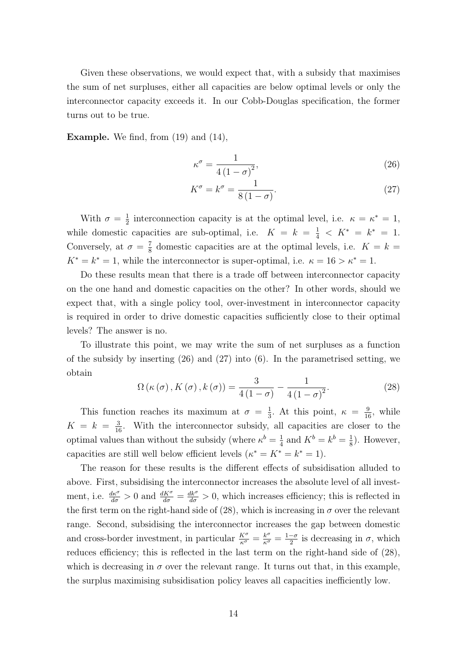Given these observations, we would expect that, with a subsidy that maximises the sum of net surpluses, either all capacities are below optimal levels or only the interconnector capacity exceeds it. In our Cobb-Douglas specification, the former turns out to be true.

**Example.** We find, from  $(19)$  and  $(14)$ ,

$$
\kappa^{\sigma} = \frac{1}{4\left(1 - \sigma\right)^2},\tag{26}
$$

$$
K^{\sigma} = k^{\sigma} = \frac{1}{8(1-\sigma)}.
$$
\n(27)

With  $\sigma = \frac{1}{2}$  $\frac{1}{2}$  interconnection capacity is at the optimal level, i.e.  $\kappa = \kappa^* = 1$ , while domestic capacities are sub-optimal, i.e.  $K = k = \frac{1}{4} \langle K^* = k^* = 1$ . Conversely, at  $\sigma = \frac{7}{8}$  $\frac{7}{8}$  domestic capacities are at the optimal levels, i.e.  $K = k =$  $K^* = k^* = 1$ , while the interconnector is super-optimal, i.e.  $\kappa = 16 > \kappa^* = 1$ .

Do these results mean that there is a trade off between interconnector capacity on the one hand and domestic capacities on the other? In other words, should we expect that, with a single policy tool, over-investment in interconnector capacity is required in order to drive domestic capacities sufficiently close to their optimal levels? The answer is no.

To illustrate this point, we may write the sum of net surpluses as a function of the subsidy by inserting (26) and (27) into (6). In the parametrised setting, we obtain

$$
\Omega\left(\kappa\left(\sigma\right),K\left(\sigma\right),k\left(\sigma\right)\right) = \frac{3}{4\left(1-\sigma\right)} - \frac{1}{4\left(1-\sigma\right)^2}.\tag{28}
$$

This function reaches its maximum at  $\sigma = \frac{1}{3}$  $\frac{1}{3}$ . At this point,  $\kappa = \frac{9}{16}$ , while  $K = k = \frac{3}{16}$ . With the interconnector subsidy, all capacities are closer to the optimal values than without the subsidy (where  $\kappa^b = \frac{1}{4}$  $\frac{1}{4}$  and  $K^b = k^b = \frac{1}{8}$  $\frac{1}{8}$ ). However, capacities are still well below efficient levels  $(\kappa^* = K^* = k^* = 1)$ .

The reason for these results is the different effects of subsidisation alluded to above. First, subsidising the interconnector increases the absolute level of all investment, i.e.  $\frac{d\kappa^{\sigma}}{d\sigma} > 0$  and  $\frac{dK^{\sigma}}{d\sigma} = \frac{dk^{\sigma}}{d\sigma} > 0$ , which increases efficiency; this is reflected in the first term on the right-hand side of (28), which is increasing in  $\sigma$  over the relevant range. Second, subsidising the interconnector increases the gap between domestic and cross-border investment, in particular  $\frac{K^{\sigma}}{\kappa^{\sigma}} = \frac{k^{\sigma}}{\kappa^{\sigma}} = \frac{1-\sigma}{2}$  $\frac{-\sigma}{2}$  is decreasing in  $\sigma$ , which reduces efficiency; this is reflected in the last term on the right-hand side of (28), which is decreasing in  $\sigma$  over the relevant range. It turns out that, in this example, the surplus maximising subsidisation policy leaves all capacities inefficiently low.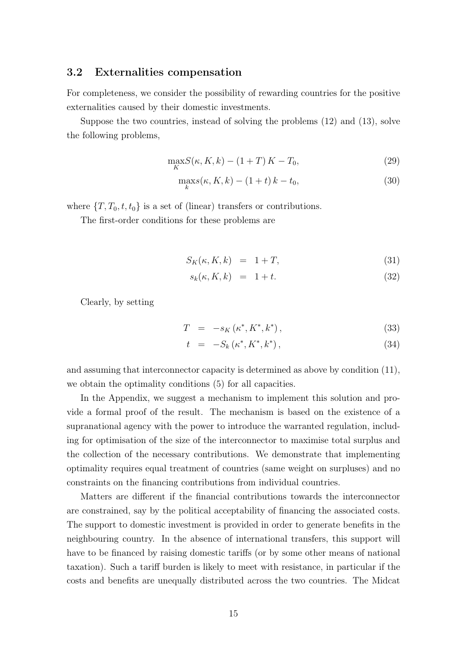#### 3.2 Externalities compensation

For completeness, we consider the possibility of rewarding countries for the positive externalities caused by their domestic investments.

Suppose the two countries, instead of solving the problems (12) and (13), solve the following problems,

$$
\max_{K} S(\kappa, K, k) - (1 + T) K - T_0,\tag{29}
$$

$$
\max_{k} s(\kappa, K, k) - (1 + t) k - t_0,\tag{30}
$$

where  $\{T, T_0, t, t_0\}$  is a set of (linear) transfers or contributions.

The first-order conditions for these problems are

$$
S_K(\kappa, K, k) = 1 + T,\tag{31}
$$

$$
s_k(\kappa, K, k) = 1 + t. \tag{32}
$$

Clearly, by setting

$$
T = -s_K(\kappa^*, K^*, k^*), \qquad (33)
$$

$$
t = -S_k(\kappa^*, K^*, k^*), \qquad (34)
$$

and assuming that interconnector capacity is determined as above by condition (11), we obtain the optimality conditions (5) for all capacities.

In the Appendix, we suggest a mechanism to implement this solution and provide a formal proof of the result. The mechanism is based on the existence of a supranational agency with the power to introduce the warranted regulation, including for optimisation of the size of the interconnector to maximise total surplus and the collection of the necessary contributions. We demonstrate that implementing optimality requires equal treatment of countries (same weight on surpluses) and no constraints on the financing contributions from individual countries.

Matters are different if the financial contributions towards the interconnector are constrained, say by the political acceptability of financing the associated costs. The support to domestic investment is provided in order to generate benefits in the neighbouring country. In the absence of international transfers, this support will have to be financed by raising domestic tariffs (or by some other means of national taxation). Such a tariff burden is likely to meet with resistance, in particular if the costs and benefits are unequally distributed across the two countries. The Midcat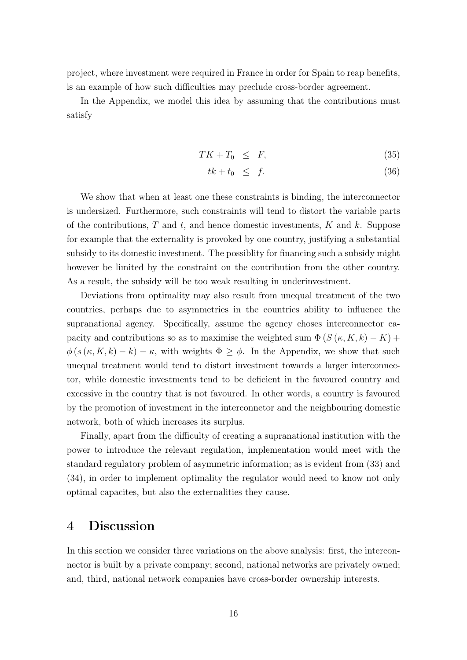project, where investment were required in France in order for Spain to reap benefits, is an example of how such difficulties may preclude cross-border agreement.

In the Appendix, we model this idea by assuming that the contributions must satisfy

$$
TK + T_0 \leq F,\tag{35}
$$

$$
tk + t_0 \leq f. \tag{36}
$$

We show that when at least one these constraints is binding, the interconnector is undersized. Furthermore, such constraints will tend to distort the variable parts of the contributions,  $T$  and  $t$ , and hence domestic investments,  $K$  and  $k$ . Suppose for example that the externality is provoked by one country, justifying a substantial subsidy to its domestic investment. The possiblity for financing such a subsidy might however be limited by the constraint on the contribution from the other country. As a result, the subsidy will be too weak resulting in underinvestment.

Deviations from optimality may also result from unequal treatment of the two countries, perhaps due to asymmetries in the countries ability to influence the supranational agency. Specifically, assume the agency choses interconnector capacity and contributions so as to maximise the weighted sum  $\Phi(S(\kappa,K,k) - K)$  +  $\phi(s(\kappa,K,k) - k) - \kappa$ , with weights  $\Phi \geq \phi$ . In the Appendix, we show that such unequal treatment would tend to distort investment towards a larger interconnector, while domestic investments tend to be deficient in the favoured country and excessive in the country that is not favoured. In other words, a country is favoured by the promotion of investment in the interconnetor and the neighbouring domestic network, both of which increases its surplus.

Finally, apart from the difficulty of creating a supranational institution with the power to introduce the relevant regulation, implementation would meet with the standard regulatory problem of asymmetric information; as is evident from (33) and (34), in order to implement optimality the regulator would need to know not only optimal capacites, but also the externalities they cause.

## 4 Discussion

In this section we consider three variations on the above analysis: first, the interconnector is built by a private company; second, national networks are privately owned; and, third, national network companies have cross-border ownership interests.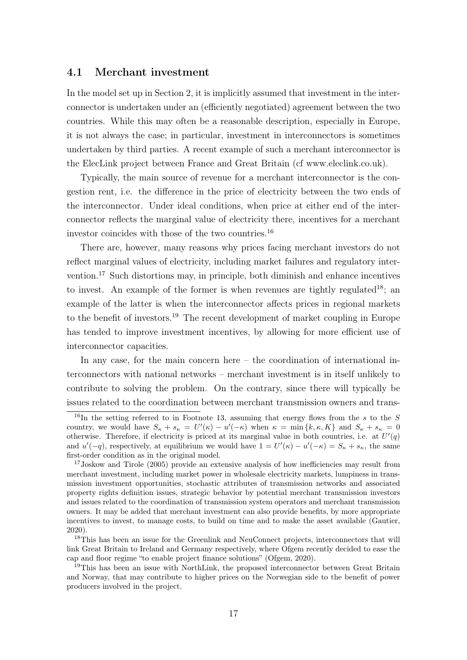#### 4.1 Merchant investment

In the model set up in Section 2, it is implicitly assumed that investment in the interconnector is undertaken under an (efficiently negotiated) agreement between the two countries. While this may often be a reasonable description, especially in Europe, it is not always the case; in particular, investment in interconnectors is sometimes undertaken by third parties. A recent example of such a merchant interconnector is the ElecLink project between France and Great Britain (cf www.eleclink.co.uk).

Typically, the main source of revenue for a merchant interconnector is the congestion rent, i.e. the difference in the price of electricity between the two ends of the interconnector. Under ideal conditions, when price at either end of the interconnector reflects the marginal value of electricity there, incentives for a merchant investor coincides with those of the two countries.<sup>16</sup>

There are, however, many reasons why prices facing merchant investors do not reflect marginal values of electricity, including market failures and regulatory intervention.<sup>17</sup> Such distortions may, in principle, both diminish and enhance incentives to invest. An example of the former is when revenues are tightly regulated<sup>18</sup>; an example of the latter is when the interconnector affects prices in regional markets to the benefit of investors.<sup>19</sup> The recent development of market coupling in Europe has tended to improve investment incentives, by allowing for more efficient use of interconnector capacities.

In any case, for the main concern here – the coordination of international interconnectors with national networks – merchant investment is in itself unlikely to contribute to solving the problem. On the contrary, since there will typically be issues related to the coordination between merchant transmission owners and trans-

<sup>&</sup>lt;sup>16</sup>In the setting referred to in Footnote 13, assuming that energy flows from the s to the S country, we would have  $S_{\kappa} + s_{\kappa} = U'(\kappa) - u'(-\kappa)$  when  $\kappa = \min\{k, \kappa, K\}$  and  $S_{\kappa} + s_{\kappa} = 0$ otherwise. Therefore, if electricity is priced at its marginal value in both countries, i.e. at  $U'(q)$ and  $u'(-q)$ , respectively, at equilibrium we would have  $1 = U'(\kappa) - u'(-\kappa) = S_{\kappa} + s_{\kappa}$ , the same first-order condition as in the original model.

<sup>&</sup>lt;sup>17</sup>Joskow and Tirole (2005) provide an extensive analysis of how inefficiencies may result from merchant investment, including market power in wholesale electricity markets, lumpiness in transmission investment opportunities, stochastic attributes of transmission networks and associated property rights definition issues, strategic behavior by potential merchant transmission investors and issues related to the coordination of transmission system operators and merchant transmission owners. It may be added that merchant investment can also provide benefits, by more appropriate incentives to invest, to manage costs, to build on time and to make the asset available (Gautier, 2020).

<sup>&</sup>lt;sup>18</sup>This has been an issue for the Greenlink and NeuConnect projects, interconnectors that will link Great Britain to Ireland and Germany respectively, where Ofgem recently decided to ease the cap and floor regime "to enable project finance solutions" (Ofgem, 2020).

<sup>&</sup>lt;sup>19</sup>This has been an issue with NorthLink, the proposed interconnector between Great Britain and Norway, that may contribute to higher prices on the Norwegian side to the benefit of power producers involved in the project.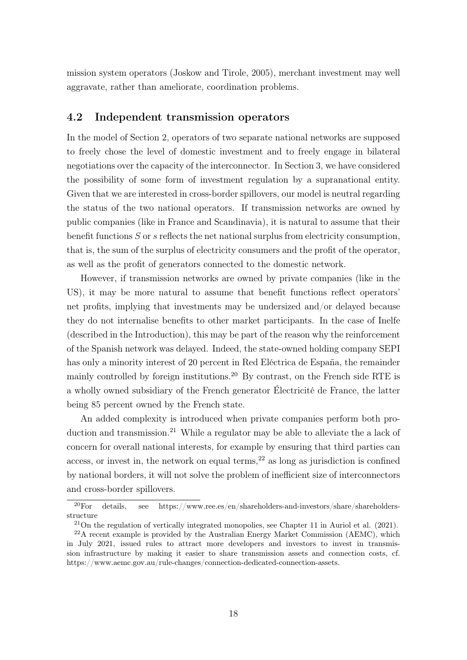mission system operators (Joskow and Tirole, 2005), merchant investment may well aggravate, rather than ameliorate, coordination problems.

### 4.2 Independent transmission operators

In the model of Section 2, operators of two separate national networks are supposed to freely chose the level of domestic investment and to freely engage in bilateral negotiations over the capacity of the interconnector. In Section 3, we have considered the possibility of some form of investment regulation by a supranational entity. Given that we are interested in cross-border spillovers, our model is neutral regarding the status of the two national operators. If transmission networks are owned by public companies (like in France and Scandinavia), it is natural to assume that their benefit functions  $S$  or  $s$  reflects the net national surplus from electricity consumption, that is, the sum of the surplus of electricity consumers and the profit of the operator, as well as the profit of generators connected to the domestic network.

However, if transmission networks are owned by private companies (like in the US), it may be more natural to assume that benefit functions reflect operators' net profits, implying that investments may be undersized and/or delayed because they do not internalise benefits to other market participants. In the case of Inelfe (described in the Introduction), this may be part of the reason why the reinforcement of the Spanish network was delayed. Indeed, the state-owned holding company SEPI has only a minority interest of 20 percent in Red Eléctrica de España, the remainder mainly controlled by foreign institutions.<sup>20</sup> By contrast, on the French side RTE is a wholly owned subsidiary of the French generator Électricité de France, the latter being 85 percent owned by the French state.

An added complexity is introduced when private companies perform both production and transmission.<sup>21</sup> While a regulator may be able to alleviate the a lack of concern for overall national interests, for example by ensuring that third parties can access, or invest in, the network on equal terms,  $2<sup>2</sup>$  as long as jurisdiction is confined by national borders, it will not solve the problem of inefficient size of interconnectors and cross-border spillovers.

 $20$ For details, see https://www.ree.es/en/shareholders-and-investors/share/shareholdersstructure

<sup>21</sup>On the regulation of vertically integrated monopolies, see Chapter 11 in Auriol et al. (2021).

 $^{22}$ A recent example is provided by the Australian Energy Market Commission (AEMC), which in July 2021, issued rules to attract more developers and investors to invest in transmission infrastructure by making it easier to share transmission assets and connection costs, cf. https://www.aemc.gov.au/rule-changes/connection-dedicated-connection-assets.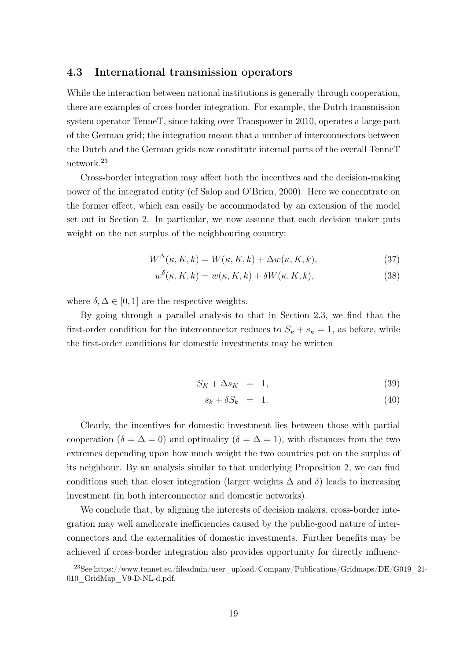#### 4.3 International transmission operators

While the interaction between national institutions is generally through cooperation, there are examples of cross-border integration. For example, the Dutch transmission system operator TenneT, since taking over Transpower in 2010, operates a large part of the German grid; the integration meant that a number of interconnectors between the Dutch and the German grids now constitute internal parts of the overall TenneT network.<sup>23</sup>

Cross-border integration may affect both the incentives and the decision-making power of the integrated entity (cf Salop and O'Brien, 2000). Here we concentrate on the former effect, which can easily be accommodated by an extension of the model set out in Section 2. In particular, we now assume that each decision maker puts weight on the net surplus of the neighbouring country:

$$
W^{\Delta}(\kappa, K, k) = W(\kappa, K, k) + \Delta w(\kappa, K, k), \qquad (37)
$$

$$
w^{\delta}(\kappa, K, k) = w(\kappa, K, k) + \delta W(\kappa, K, k), \tag{38}
$$

where  $\delta, \Delta \in [0, 1]$  are the respective weights.

By going through a parallel analysis to that in Section 2.3, we find that the first-order condition for the interconnector reduces to  $S_{\kappa} + s_{\kappa} = 1$ , as before, while the first-order conditions for domestic investments may be written

$$
S_K + \Delta s_K = 1,\t(39)
$$

$$
s_k + \delta S_k = 1. \tag{40}
$$

Clearly, the incentives for domestic investment lies between those with partial cooperation ( $\delta = \Delta = 0$ ) and optimality ( $\delta = \Delta = 1$ ), with distances from the two extremes depending upon how much weight the two countries put on the surplus of its neighbour. By an analysis similar to that underlying Proposition 2, we can find conditions such that closer integration (larger weights  $\Delta$  and  $\delta$ ) leads to increasing investment (in both interconnector and domestic networks).

We conclude that, by aligning the interests of decision makers, cross-border integration may well ameliorate inefficiencies caused by the public-good nature of interconnectors and the externalities of domestic investments. Further benefits may be achieved if cross-border integration also provides opportunity for directly influenc-

<sup>&</sup>lt;sup>23</sup>See https://www.tennet.eu/fileadmin/user\_upload/Company/Publications/Gridmaps/DE/G019\_21-010\_GridMap\_V9-D-NL-d.pdf.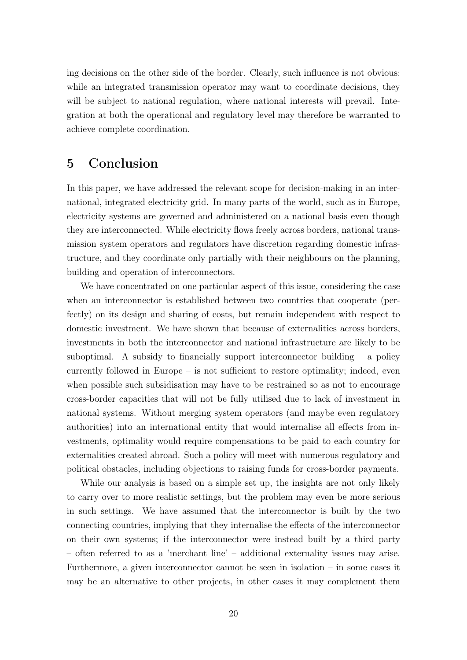ing decisions on the other side of the border. Clearly, such influence is not obvious: while an integrated transmission operator may want to coordinate decisions, they will be subject to national regulation, where national interests will prevail. Integration at both the operational and regulatory level may therefore be warranted to achieve complete coordination.

## 5 Conclusion

In this paper, we have addressed the relevant scope for decision-making in an international, integrated electricity grid. In many parts of the world, such as in Europe, electricity systems are governed and administered on a national basis even though they are interconnected. While electricity flows freely across borders, national transmission system operators and regulators have discretion regarding domestic infrastructure, and they coordinate only partially with their neighbours on the planning, building and operation of interconnectors.

We have concentrated on one particular aspect of this issue, considering the case when an interconnector is established between two countries that cooperate (perfectly) on its design and sharing of costs, but remain independent with respect to domestic investment. We have shown that because of externalities across borders, investments in both the interconnector and national infrastructure are likely to be suboptimal. A subsidy to financially support interconnector building  $-$  a policy currently followed in Europe – is not sufficient to restore optimality; indeed, even when possible such subsidisation may have to be restrained so as not to encourage cross-border capacities that will not be fully utilised due to lack of investment in national systems. Without merging system operators (and maybe even regulatory authorities) into an international entity that would internalise all effects from investments, optimality would require compensations to be paid to each country for externalities created abroad. Such a policy will meet with numerous regulatory and political obstacles, including objections to raising funds for cross-border payments.

While our analysis is based on a simple set up, the insights are not only likely to carry over to more realistic settings, but the problem may even be more serious in such settings. We have assumed that the interconnector is built by the two connecting countries, implying that they internalise the effects of the interconnector on their own systems; if the interconnector were instead built by a third party – often referred to as a 'merchant line' – additional externality issues may arise. Furthermore, a given interconnector cannot be seen in isolation – in some cases it may be an alternative to other projects, in other cases it may complement them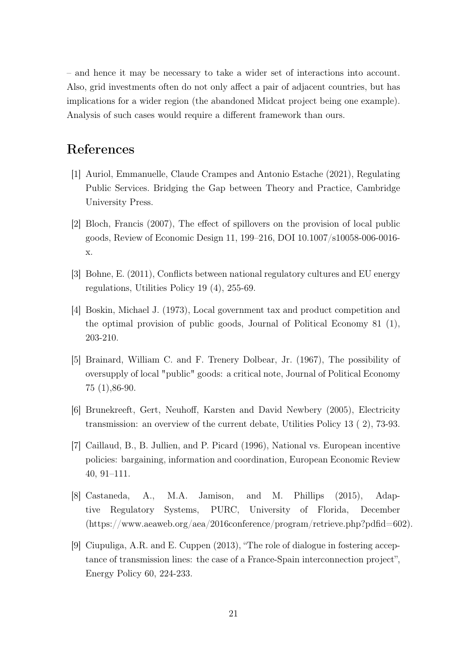– and hence it may be necessary to take a wider set of interactions into account. Also, grid investments often do not only affect a pair of adjacent countries, but has implications for a wider region (the abandoned Midcat project being one example). Analysis of such cases would require a different framework than ours.

# References

- [1] Auriol, Emmanuelle, Claude Crampes and Antonio Estache (2021), Regulating Public Services. Bridging the Gap between Theory and Practice, Cambridge University Press.
- [2] Bloch, Francis (2007), The effect of spillovers on the provision of local public goods, Review of Economic Design 11, 199–216, DOI 10.1007/s10058-006-0016 x.
- [3] Bohne, E. (2011), Conflicts between national regulatory cultures and EU energy regulations, Utilities Policy 19 (4), 255-69.
- [4] Boskin, Michael J. (1973), Local government tax and product competition and the optimal provision of public goods, Journal of Political Economy 81 (1), 203-210.
- [5] Brainard, William C. and F. Trenery Dolbear, Jr. (1967), The possibility of oversupply of local "public" goods: a critical note, Journal of Political Economy 75 (1),86-90.
- [6] Brunekreeft, Gert, Neuhoff, Karsten and David Newbery (2005), Electricity transmission: an overview of the current debate, Utilities Policy 13 ( 2), 73-93.
- [7] Caillaud, B., B. Jullien, and P. Picard (1996), National vs. European incentive policies: bargaining, information and coordination, European Economic Review 40, 91–111.
- [8] Castaneda, A., M.A. Jamison, and M. Phillips (2015), Adaptive Regulatory Systems, PURC, University of Florida, December (https://www.aeaweb.org/aea/2016conference/program/retrieve.php?pdfid=602).
- [9] Ciupuliga, A.R. and E. Cuppen (2013), "The role of dialogue in fostering acceptance of transmission lines: the case of a France-Spain interconnection project", Energy Policy 60, 224-233.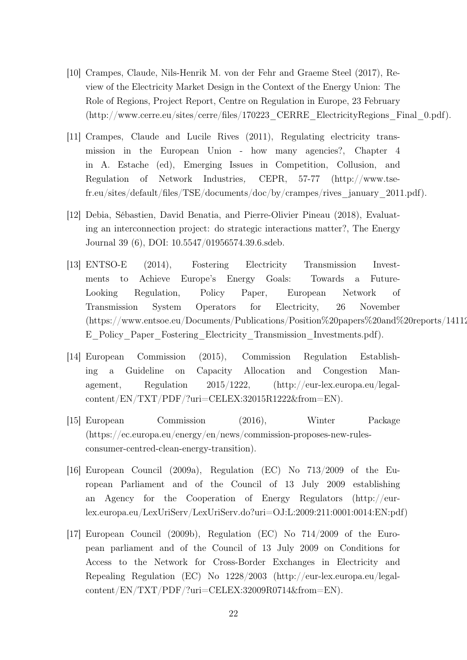- [10] Crampes, Claude, Nils-Henrik M. von der Fehr and Graeme Steel (2017), Review of the Electricity Market Design in the Context of the Energy Union: The Role of Regions, Project Report, Centre on Regulation in Europe, 23 February (http://www.cerre.eu/sites/cerre/files/170223\_CERRE\_ElectricityRegions\_Final\_0.pdf).
- [11] Crampes, Claude and Lucile Rives (2011), Regulating electricity transmission in the European Union - how many agencies?, Chapter 4 in A. Estache (ed), Emerging Issues in Competition, Collusion, and Regulation of Network Industries, CEPR, 57-77 (http://www.tsefr.eu/sites/default/files/TSE/documents/doc/by/crampes/rives\_january\_2011.pdf).
- [12] Debia, Sébastien, David Benatia, and Pierre-Olivier Pineau (2018), Evaluating an interconnection project: do strategic interactions matter?, The Energy Journal 39 (6), DOI: 10.5547/01956574.39.6.sdeb.
- [13] ENTSO-E (2014), Fostering Electricity Transmission Investments to Achieve Europe's Energy Goals: Towards a Future-Looking Regulation, Policy Paper, European Network of Transmission System Operators for Electricity, 26 November  $(\text{https://www.entsoe.eu/Documents/Publications/Position%20 papers%20 and%20 reports/14112})$ E\_Policy\_Paper\_Fostering\_Electricity\_Transmission\_Investments.pdf).
- [14] European Commission (2015), Commission Regulation Establishing a Guideline on Capacity Allocation and Congestion Management, Regulation 2015/1222, (http://eur-lex.europa.eu/legalcontent/EN/TXT/PDF/?uri=CELEX:32015R1222&from=EN).
- [15] European Commission (2016), Winter Package (https://ec.europa.eu/energy/en/news/commission-proposes-new-rulesconsumer-centred-clean-energy-transition).
- [16] European Council (2009a), Regulation (EC) No 713/2009 of the European Parliament and of the Council of 13 July 2009 establishing an Agency for the Cooperation of Energy Regulators (http://eurlex.europa.eu/LexUriServ/LexUriServ.do?uri=OJ:L:2009:211:0001:0014:EN:pdf)
- [17] European Council (2009b), Regulation (EC) No 714/2009 of the European parliament and of the Council of 13 July 2009 on Conditions for Access to the Network for Cross-Border Exchanges in Electricity and Repealing Regulation (EC) No 1228/2003 (http://eur-lex.europa.eu/legalcontent/EN/TXT/PDF/?uri=CELEX:32009R0714&from=EN).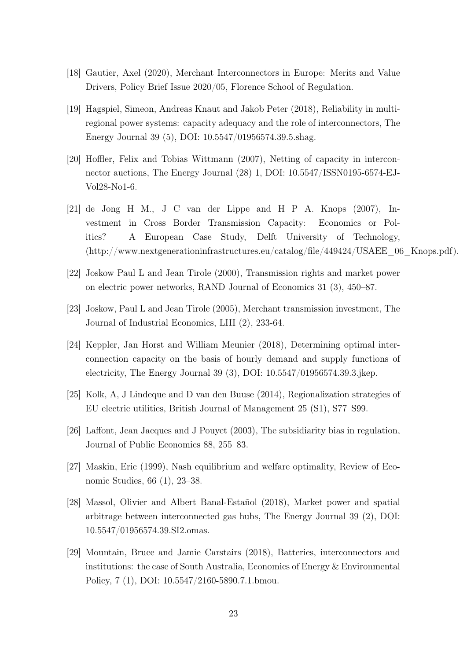- [18] Gautier, Axel (2020), Merchant Interconnectors in Europe: Merits and Value Drivers, Policy Brief Issue 2020/05, Florence School of Regulation.
- [19] Hagspiel, Simeon, Andreas Knaut and Jakob Peter (2018), Reliability in multiregional power systems: capacity adequacy and the role of interconnectors, The Energy Journal 39 (5), DOI: 10.5547/01956574.39.5.shag.
- [20] Hoffler, Felix and Tobias Wittmann (2007), Netting of capacity in interconnector auctions, The Energy Journal (28) 1, DOI: 10.5547/ISSN0195-6574-EJ-Vol28-No1-6.
- [21] de Jong H M., J C van der Lippe and H P A. Knops (2007), Investment in Cross Border Transmission Capacity: Economics or Politics? A European Case Study, Delft University of Technology, (http://www.nextgenerationinfrastructures.eu/catalog/file/449424/USAEE\_06\_Knops.pdf).
- [22] Joskow Paul L and Jean Tirole (2000), Transmission rights and market power on electric power networks, RAND Journal of Economics 31 (3), 450–87.
- [23] Joskow, Paul L and Jean Tirole (2005), Merchant transmission investment, The Journal of Industrial Economics, LIII (2), 233-64.
- [24] Keppler, Jan Horst and William Meunier (2018), Determining optimal interconnection capacity on the basis of hourly demand and supply functions of electricity, The Energy Journal 39 (3), DOI: 10.5547/01956574.39.3.jkep.
- [25] Kolk, A, J Lindeque and D van den Buuse (2014), Regionalization strategies of EU electric utilities, British Journal of Management 25 (S1), S77–S99.
- [26] Laffont, Jean Jacques and J Pouyet (2003), The subsidiarity bias in regulation, Journal of Public Economics 88, 255–83.
- [27] Maskin, Eric (1999), Nash equilibrium and welfare optimality, Review of Economic Studies, 66 (1), 23–38.
- [28] Massol, Olivier and Albert Banal-Estañol (2018), Market power and spatial arbitrage between interconnected gas hubs, The Energy Journal 39 (2), DOI: 10.5547/01956574.39.SI2.omas.
- [29] Mountain, Bruce and Jamie Carstairs (2018), Batteries, interconnectors and institutions: the case of South Australia, Economics of Energy & Environmental Policy, 7 (1), DOI: 10.5547/2160-5890.7.1.bmou.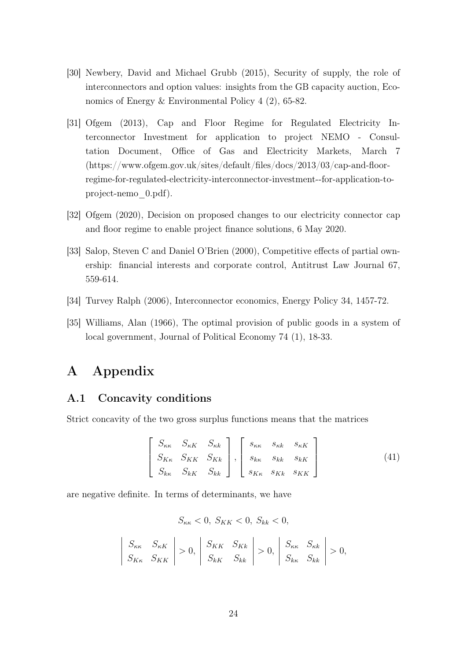- [30] Newbery, David and Michael Grubb (2015), Security of supply, the role of interconnectors and option values: insights from the GB capacity auction, Economics of Energy & Environmental Policy 4 (2), 65-82.
- [31] Ofgem (2013), Cap and Floor Regime for Regulated Electricity Interconnector Investment for application to project NEMO - Consultation Document, Office of Gas and Electricity Markets, March 7 (https://www.ofgem.gov.uk/sites/default/files/docs/2013/03/cap-and-floorregime-for-regulated-electricity-interconnector-investment--for-application-toproject-nemo\_0.pdf).
- [32] Ofgem (2020), Decision on proposed changes to our electricity connector cap and floor regime to enable project finance solutions, 6 May 2020.
- [33] Salop, Steven C and Daniel O'Brien (2000), Competitive effects of partial ownership: financial interests and corporate control, Antitrust Law Journal 67, 559-614.
- [34] Turvey Ralph (2006), Interconnector economics, Energy Policy 34, 1457-72.
- [35] Williams, Alan (1966), The optimal provision of public goods in a system of local government, Journal of Political Economy 74 (1), 18-33.

# A Appendix

### A.1 Concavity conditions

 $\overline{\phantom{a}}$  $\overline{\phantom{a}}$  $\Big\}$  $\Big\}$  $\vert$ 

Strict concavity of the two gross surplus functions means that the matrices

$$
\begin{bmatrix}\nS_{\kappa\kappa} & S_{\kappa K} & S_{\kappa k} \\
S_{K\kappa} & S_{K\kappa} & S_{K\kappa} \\
S_{\kappa\kappa} & S_{\kappa K} & S_{\kappa k}\n\end{bmatrix}, \begin{bmatrix}\ns_{\kappa\kappa} & s_{\kappa K} & s_{\kappa K} \\
s_{\kappa\kappa} & s_{\kappa K} & s_{\kappa K} \\
s_{\kappa\kappa} & s_{\kappa K} & s_{\kappa K}\n\end{bmatrix}
$$
\n
$$
(41)
$$

are negative definite. In terms of determinants, we have

$$
S_{\kappa\kappa} < 0, \ S_{KK} < 0, \ S_{kk} < 0,
$$
\n
$$
S_{\kappa\kappa} \quad S_{\kappa K} \quad \Big| > 0, \quad S_{KK} \quad S_{Kk} \quad \Big| > 0, \quad S_{\kappa\kappa} \quad S_{\kappa k} \quad \Big| > 0,
$$
\n
$$
S_{K\kappa} \quad S_{KK} \quad S_{KK} \quad S_{kk} \quad S_{kk} \quad S_{kk} \quad S_{kk} \quad S_{kk} \quad S_{kk} \quad S_{kk} \quad S_{kk} \quad S_{kk} \quad S_{kk} \quad S_{kk} \quad S_{kk} \quad S_{kk} \quad S_{kk} \quad S_{kk} \quad S_{kk} \quad S_{kk} \quad S_{kk} \quad S_{kk} \quad S_{kk} \quad S_{kk} \quad S_{kk} \quad S_{kk} \quad S_{kk} \quad S_{kk} \quad S_{kk} \quad S_{kk} \quad S_{kk} \quad S_{kk} \quad S_{kk} \quad S_{kk} \quad S_{kk} \quad S_{kk} \quad S_{kk} \quad S_{kk} \quad S_{kk} \quad S_{kk} \quad S_{kk} \quad S_{kk} \quad S_{kk} \quad S_{kk} \quad S_{kk} \quad S_{kk} \quad S_{kk} \quad S_{kk} \quad S_{kk} \quad S_{kk} \quad S_{kk} \quad S_{kk} \quad S_{kk} \quad S_{kk} \quad S_{kk} \quad S_{kk} \quad S_{kk} \quad S_{kk} \quad S_{kk} \quad S_{kk} \quad S_{kk} \quad S_{kk} \quad S_{kk} \quad S_{kk} \quad S_{kk} \quad S_{kk} \quad S_{kk} \quad S_{kk} \quad S_{kk} \quad S_{kk} \quad S_{kk} \quad S_{kk} \quad S_{kk} \quad S_{kk} \quad S_{kk} \quad S_{kk} \quad S_{kk} \quad S_{kk} \quad S_{kk} \quad S_{kk} \quad S_{kk} \quad S_{kk} \quad S_{kk} \quad S_{kk} \quad S_{kk} \quad S_{kk} \quad S_{kk} \quad S_{kk} \quad S_{kk} \quad S_{kk} \quad S_{kk} \quad S_{kk} \quad S_{kk} \quad S_{kk} \quad S_{kk} \quad S_{kk} \quad S_{kk} \quad S_{kk} \quad S_{kk} \quad S_{kk} \quad S_{kk} \quad S_{kk} \quad S_{kk} \
$$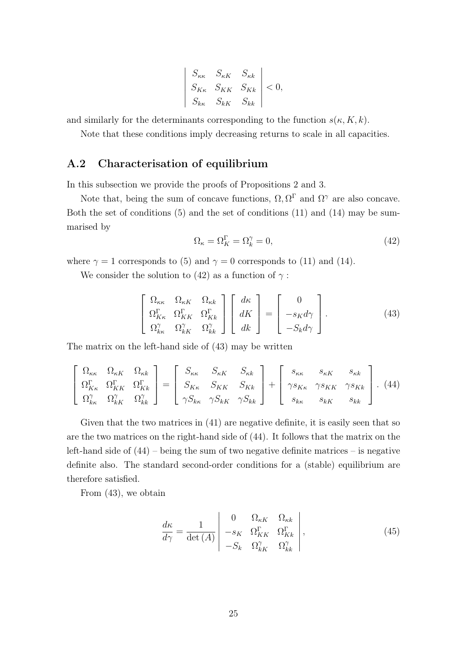$$
\begin{vmatrix}\nS_{\kappa\kappa} & S_{\kappa K} & S_{\kappa k} \\
S_{K\kappa} & S_{K K} & S_{K k} \\
S_{k\kappa} & S_{k K} & S_{k k}\n\end{vmatrix} < 0,
$$

and similarly for the determinants corresponding to the function  $s(\kappa, K, k)$ .

Note that these conditions imply decreasing returns to scale in all capacities.

### A.2 Characterisation of equilibrium

In this subsection we provide the proofs of Propositions 2 and 3.

Note that, being the sum of concave functions,  $\Omega, \Omega^{\Gamma}$  and  $\Omega^{\gamma}$  are also concave. Both the set of conditions (5) and the set of conditions (11) and (14) may be summarised by

$$
\Omega_{\kappa} = \Omega_{K}^{\Gamma} = \Omega_{k}^{\gamma} = 0, \tag{42}
$$

where  $\gamma = 1$  corresponds to (5) and  $\gamma = 0$  corresponds to (11) and (14).

We consider the solution to (42) as a function of  $\gamma$ :

$$
\begin{bmatrix}\n\Omega_{\kappa\kappa} & \Omega_{\kappa K} & \Omega_{\kappa k} \\
\Omega_{K\kappa}^{\Gamma} & \Omega_{K\kappa}^{\Gamma} & \Omega_{K\kappa}^{\Gamma}\n\end{bmatrix}\n\begin{bmatrix}\nd\kappa \\
dK \\
dk\n\end{bmatrix} =\n\begin{bmatrix}\n0 \\
-s_K d\gamma \\
-S_k d\gamma\n\end{bmatrix}.
$$
\n(43)

The matrix on the left-hand side of (43) may be written

$$
\begin{bmatrix}\n\Omega_{\kappa\kappa} & \Omega_{\kappa K} & \Omega_{\kappa k} \\
\Omega_{K\kappa}^{\Gamma} & \Omega_{K\kappa}^{\Gamma} & \Omega_{K\kappa}^{\Gamma} \\
\Omega_{\kappa\kappa}^{\gamma} & \Omega_{\kappa K}^{\gamma} & \Omega_{\kappa k}^{\gamma}\n\end{bmatrix} = \begin{bmatrix}\nS_{\kappa\kappa} & S_{\kappa K} & S_{\kappa k} \\
S_{K\kappa} & S_{K\kappa} & S_{K\kappa} \\
\gamma S_{K\kappa} & \gamma S_{K\kappa} & \gamma S_{K\kappa} \\
\gamma S_{K\kappa} & \gamma S_{K\kappa} & S_{K\kappa}\n\end{bmatrix}.
$$
\n(44)

Given that the two matrices in (41) are negative definite, it is easily seen that so are the two matrices on the right-hand side of (44). It follows that the matrix on the left-hand side of  $(44)$  – being the sum of two negative definite matrices – is negative definite also. The standard second-order conditions for a (stable) equilibrium are therefore satisfied.

From (43), we obtain

$$
\frac{d\kappa}{d\gamma} = \frac{1}{\det\left(A\right)} \begin{vmatrix} 0 & \Omega_{\kappa K} & \Omega_{\kappa k} \\ -s_K & \Omega_{\kappa K}^{\Gamma} & \Omega_{\kappa k}^{\Gamma} \\ -S_k & \Omega_{\kappa K}^{\gamma} & \Omega_{\kappa k}^{\gamma} \end{vmatrix},
$$
\n(45)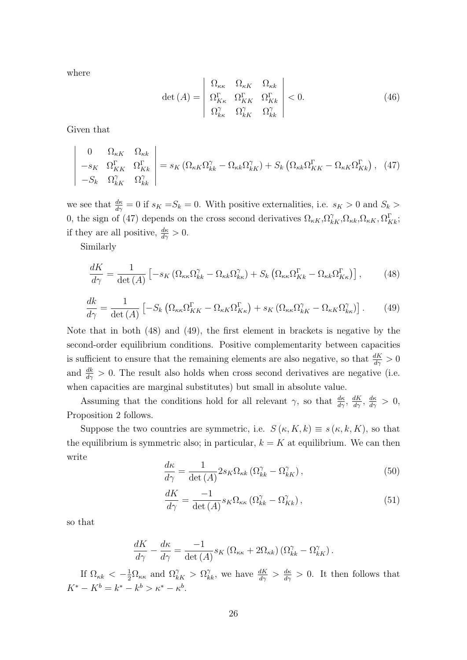where

$$
\det\left(A\right) = \begin{vmatrix} \Omega_{\kappa\kappa} & \Omega_{\kappa K} & \Omega_{\kappa k} \\ \Omega_{K\kappa}^{\Gamma} & \Omega_{K K}^{\Gamma} & \Omega_{K k}^{\Gamma} \\ \Omega_{k\kappa}^{\gamma} & \Omega_{k K}^{\gamma} & \Omega_{k k}^{\gamma} \end{vmatrix} < 0.
$$
 (46)

Given that

$$
\begin{vmatrix}\n0 & \Omega_{\kappa K} & \Omega_{\kappa k} \\
-s_K & \Omega_{KK}^{\Gamma} & \Omega_{Kk}^{\Gamma} \\
-S_k & \Omega_{\kappa K}^{\gamma} & \Omega_{\kappa k}^{\gamma}\n\end{vmatrix} = s_K \left( \Omega_{\kappa K} \Omega_{\kappa k}^{\gamma} - \Omega_{\kappa k} \Omega_{\kappa K}^{\gamma} \right) + S_k \left( \Omega_{\kappa k} \Omega_{KK}^{\Gamma} - \Omega_{\kappa K} \Omega_{Kk}^{\Gamma} \right), (47)
$$

we see that  $\frac{d\kappa}{d\gamma} = 0$  if  $s_K = S_k = 0$ . With positive externalities, i.e.  $s_K > 0$  and  $S_k >$ 0, the sign of (47) depends on the cross second derivatives  $\Omega_{\kappa K}$ ,  $\Omega_{\kappa K}^{\gamma}$ ,  $\Omega_{\kappa K}$ ,  $\Omega_{\kappa K}^{\Gamma}$ ,  $\Omega_{Kk}^{\Gamma}$ ; if they are all positive,  $\frac{d\kappa}{d\gamma} > 0$ .

Similarly

$$
\frac{dK}{d\gamma} = \frac{1}{\det\left(A\right)} \left[ -s_K \left( \Omega_{\kappa\kappa} \Omega_{kk}^{\gamma} - \Omega_{\kappa k} \Omega_{kk}^{\gamma} \right) + S_k \left( \Omega_{\kappa\kappa} \Omega_{Kk}^{\Gamma} - \Omega_{\kappa k} \Omega_{K\kappa}^{\Gamma} \right) \right],\tag{48}
$$

$$
\frac{dk}{d\gamma} = \frac{1}{\det(A)} \left[ -S_k \left( \Omega_{\kappa\kappa} \Omega_{KK}^{\Gamma} - \Omega_{\kappa K} \Omega_{K\kappa}^{\Gamma} \right) + s_K \left( \Omega_{\kappa\kappa} \Omega_{kK}^{\gamma} - \Omega_{\kappa K} \Omega_{k\kappa}^{\gamma} \right) \right].
$$
 (49)

Note that in both (48) and (49), the first element in brackets is negative by the second-order equilibrium conditions. Positive complementarity between capacities is sufficient to ensure that the remaining elements are also negative, so that  $\frac{dK}{d\gamma} > 0$ and  $\frac{dk}{d\gamma} > 0$ . The result also holds when cross second derivatives are negative (i.e. when capacities are marginal substitutes) but small in absolute value.

Assuming that the conditions hold for all relevant  $\gamma$ , so that  $\frac{d\kappa}{d\gamma}$ ,  $\frac{dK}{d\gamma}$ ,  $\frac{d\kappa}{d\gamma} > 0$ , Proposition 2 follows.

Suppose the two countries are symmetric, i.e.  $S(\kappa, K, k) \equiv s(\kappa, k, K)$ , so that the equilibrium is symmetric also; in particular,  $k = K$  at equilibrium. We can then write

$$
\frac{d\kappa}{d\gamma} = \frac{1}{\det\left(A\right)} 2s_K \Omega_{\kappa k} \left(\Omega_{kk}^{\gamma} - \Omega_{kK}^{\gamma}\right),\tag{50}
$$

$$
\frac{dK}{d\gamma} = \frac{-1}{\det(A)} s_K \Omega_{\kappa\kappa} \left( \Omega_{kk}^{\gamma} - \Omega_{Kk}^{\gamma} \right),\tag{51}
$$

so that

$$
\frac{dK}{d\gamma} - \frac{d\kappa}{d\gamma} = \frac{-1}{\det(A)} s_K \left( \Omega_{\kappa\kappa} + 2\Omega_{\kappa k} \right) \left( \Omega_{kk}^{\gamma} - \Omega_{kK}^{\gamma} \right).
$$

If  $\Omega_{\kappa k} < -\frac{1}{2}\Omega_{\kappa \kappa}$  and  $\Omega_{kK}^{\gamma} > \Omega_{k\kappa}^{\gamma}$ , we have  $\frac{dK}{d\gamma} > \frac{d\kappa}{d\gamma} > 0$ . It then follows that  $K^* - K^b = k^* - k^b > \kappa^* - \kappa^b.$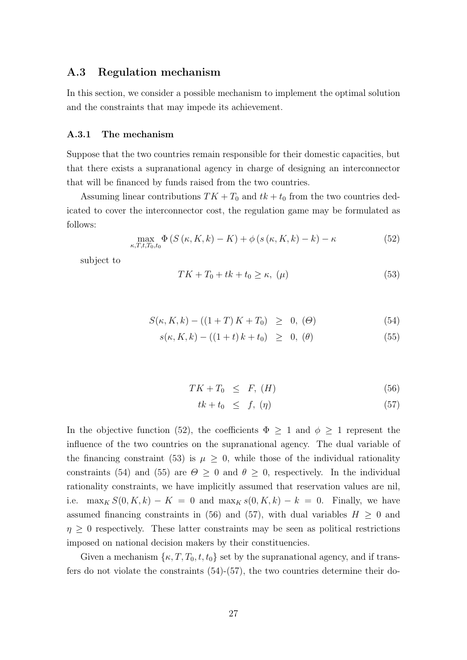### A.3 Regulation mechanism

In this section, we consider a possible mechanism to implement the optimal solution and the constraints that may impede its achievement.

#### A.3.1 The mechanism

Suppose that the two countries remain responsible for their domestic capacities, but that there exists a supranational agency in charge of designing an interconnector that will be financed by funds raised from the two countries.

Assuming linear contributions  $TK + T_0$  and  $tk + t_0$  from the two countries dedicated to cover the interconnector cost, the regulation game may be formulated as follows:

$$
\max_{\kappa, T, t, T_0, t_0} \Phi\left(S\left(\kappa, K, k\right) - K\right) + \phi\left(s\left(\kappa, K, k\right) - k\right) - \kappa \tag{52}
$$

subject to

$$
TK + T_0 + tk + t_0 \ge \kappa, \ (\mu) \tag{53}
$$

$$
S(\kappa, K, k) - ((1 + T) K + T_0) \geq 0, \, (\Theta) \tag{54}
$$

$$
s(\kappa, K, k) - ((1 + t) k + t_0) \geq 0, (\theta)
$$
\n(55)

$$
TK + T_0 \leq F, (H) \tag{56}
$$

$$
tk + t_0 \leq f, (\eta) \tag{57}
$$

In the objective function (52), the coefficients  $\Phi \geq 1$  and  $\phi \geq 1$  represent the influence of the two countries on the supranational agency. The dual variable of the financing constraint (53) is  $\mu \geq 0$ , while those of the individual rationality constraints (54) and (55) are  $\theta \geq 0$  and  $\theta \geq 0$ , respectively. In the individual rationality constraints, we have implicitly assumed that reservation values are nil, i.e. max<sub>K</sub>  $S(0, K, k) - K = 0$  and max<sub>K</sub>  $s(0, K, k) - k = 0$ . Finally, we have assumed financing constraints in (56) and (57), with dual variables  $H \geq 0$  and  $\eta \geq 0$  respectively. These latter constraints may be seen as political restrictions imposed on national decision makers by their constituencies.

Given a mechanism  $\{\kappa, T, T_0, t, t_0\}$  set by the supranational agency, and if transfers do not violate the constraints (54)-(57), the two countries determine their do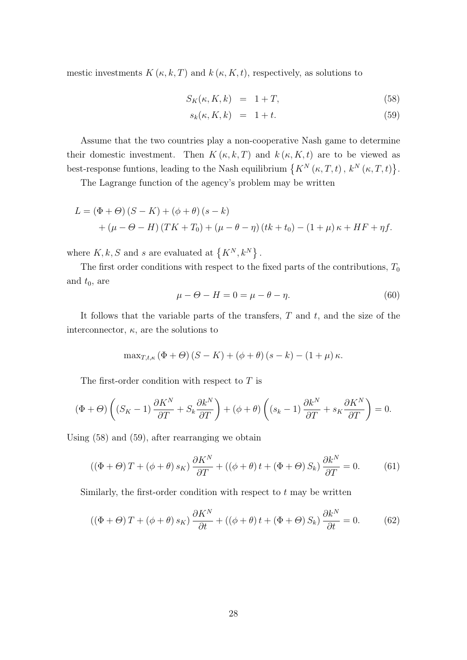mestic investments  $K(\kappa, k, T)$  and  $k(\kappa, K, t)$ , respectively, as solutions to

$$
S_K(\kappa, K, k) = 1 + T,\tag{58}
$$

$$
s_k(\kappa, K, k) = 1 + t. \tag{59}
$$

Assume that the two countries play a non-cooperative Nash game to determine their domestic investment. Then  $K(\kappa, k, T)$  and  $k(\kappa, K, t)$  are to be viewed as best-response funtions, leading to the Nash equilibrium  $\{K^N(\kappa,T,t), k^N(\kappa,T,t)\}.$ 

The Lagrange function of the agency's problem may be written

$$
L = (\Phi + \Theta) (S - K) + (\phi + \theta) (s - k)
$$
  
+ 
$$
(\mu - \Theta - H) (TK + T_0) + (\mu - \theta - \eta) (tk + t_0) - (1 + \mu) \kappa + HF + \eta f.
$$

where  $K, k, S$  and s are evaluated at  $\{K^N, k^N\}$ .

The first order conditions with respect to the fixed parts of the contributions,  $T_0$ and  $t_0$ , are

$$
\mu - \Theta - H = 0 = \mu - \theta - \eta. \tag{60}
$$

It follows that the variable parts of the transfers,  $T$  and  $t$ , and the size of the interconnector,  $\kappa$ , are the solutions to

$$
\max_{T,t,\kappa} (\Phi + \Theta) (S - K) + (\phi + \theta) (s - k) - (1 + \mu) \kappa.
$$

The first-order condition with respect to  $T$  is

$$
(\Phi + \Theta) \left( (S_K - 1) \frac{\partial K^N}{\partial T} + S_k \frac{\partial k^N}{\partial T} \right) + (\phi + \theta) \left( (s_k - 1) \frac{\partial k^N}{\partial T} + s_K \frac{\partial K^N}{\partial T} \right) = 0.
$$

Using (58) and (59), after rearranging we obtain

$$
((\Phi + \Theta)T + (\phi + \theta) s_K) \frac{\partial K^N}{\partial T} + ((\phi + \theta) t + (\Phi + \Theta) S_k) \frac{\partial k^N}{\partial T} = 0.
$$
 (61)

Similarly, the first-order condition with respect to  $t$  may be written

$$
((\Phi + \Theta)T + (\phi + \theta) s_K) \frac{\partial K^N}{\partial t} + ((\phi + \theta) t + (\Phi + \Theta) S_k) \frac{\partial k^N}{\partial t} = 0.
$$
 (62)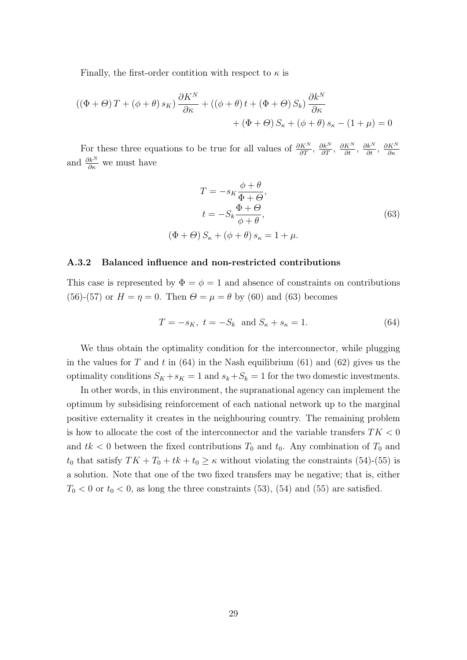Finally, the first-order contition with respect to  $\kappa$  is

$$
((\Phi + \Theta) T + (\phi + \theta) s_K) \frac{\partial K^N}{\partial \kappa} + ((\phi + \theta) t + (\Phi + \Theta) S_k) \frac{\partial k^N}{\partial \kappa} + (\Phi + \Theta) S_\kappa + (\phi + \theta) s_\kappa - (1 + \mu) = 0
$$

For these three equations to be true for all values of  $\frac{\partial K^N}{\partial T}$ ,  $\frac{\partial k^N}{\partial T}$ ,  $\frac{\partial k^N}{\partial t}$ ,  $\frac{\partial k^N}{\partial s}$ ,  $\frac{\partial k^N}{\partial s}$ ∂κ and  $\frac{\partial k^N}{\partial \kappa}$  we must have

$$
T = -s_K \frac{\phi + \theta}{\Phi + \Theta},
$$
  
\n
$$
t = -S_k \frac{\Phi + \Theta}{\phi + \theta},
$$
  
\n
$$
(\Phi + \Theta) S_{\kappa} + (\phi + \theta) s_{\kappa} = 1 + \mu.
$$
  
\n(63)

#### A.3.2 Balanced influence and non-restricted contributions

This case is represented by  $\Phi = \phi = 1$  and absence of constraints on contributions (56)-(57) or  $H = \eta = 0$ . Then  $\Theta = \mu = \theta$  by (60) and (63) becomes

$$
T = -s_K, \ t = -S_k \text{ and } S_{\kappa} + s_{\kappa} = 1. \tag{64}
$$

We thus obtain the optimality condition for the interconnector, while plugging in the values for T and t in  $(64)$  in the Nash equilibrium  $(61)$  and  $(62)$  gives us the optimality conditions  $S_K + s_K = 1$  and  $s_k + S_k = 1$  for the two domestic investments.

In other words, in this environment, the supranational agency can implement the optimum by subsidising reinforcement of each national network up to the marginal positive externality it creates in the neighbouring country. The remaining problem is how to allocate the cost of the interconnector and the variable transfers  $TK < 0$ and  $tk < 0$  between the fixed contributions  $T_0$  and  $t_0$ . Any combination of  $T_0$  and  $t_0$  that satisfy  $TK + T_0 + tk + t_0 \geq \kappa$  without violating the constraints (54)-(55) is a solution. Note that one of the two fixed transfers may be negative; that is, either  $T_0$  < 0 or  $t_0$  < 0, as long the three constraints (53), (54) and (55) are satisfied.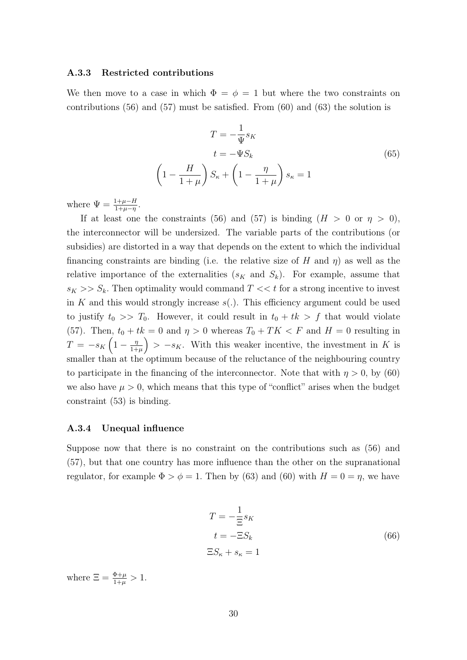#### A.3.3 Restricted contributions

We then move to a case in which  $\Phi = \phi = 1$  but where the two constraints on contributions  $(56)$  and  $(57)$  must be satisfied. From  $(60)$  and  $(63)$  the solution is

$$
T = -\frac{1}{\Psi}s_K
$$
  
\n
$$
t = -\Psi S_k
$$
  
\n
$$
\left(1 - \frac{H}{1+\mu}\right)S_{\kappa} + \left(1 - \frac{\eta}{1+\mu}\right)s_{\kappa} = 1
$$
\n(65)

where  $\Psi = \frac{1+\mu-H}{1+\mu-\eta}$ .

If at least one the constraints (56) and (57) is binding  $(H > 0 \text{ or } \eta > 0)$ , the interconnector will be undersized. The variable parts of the contributions (or subsidies) are distorted in a way that depends on the extent to which the individual financing constraints are binding (i.e. the relative size of H and  $\eta$ ) as well as the relative importance of the externalities  $(s_K$  and  $S_k$ ). For example, assume that  $s_K >> S_k$ . Then optimality would command  $T \ll t$  for a strong incentive to invest in K and this would strongly increase  $s(.)$ . This efficiency argument could be used to justify  $t_0 \gg T_0$ . However, it could result in  $t_0 + tk > f$  that would violate (57). Then,  $t_0 + tk = 0$  and  $\eta > 0$  whereas  $T_0 + TK < F$  and  $H = 0$  resulting in  $T = -s_K \left( 1 - \frac{\eta}{1 + \eta} \right)$  $\left(\frac{\eta}{1+\mu}\right) > -s_K$ . With this weaker incentive, the investment in K is smaller than at the optimum because of the reluctance of the neighbouring country to participate in the financing of the interconnector. Note that with  $\eta > 0$ , by (60) we also have  $\mu > 0$ , which means that this type of "conflict" arises when the budget constraint (53) is binding.

#### A.3.4 Unequal influence

Suppose now that there is no constraint on the contributions such as (56) and (57), but that one country has more influence than the other on the supranational regulator, for example  $\Phi > \phi = 1$ . Then by (63) and (60) with  $H = 0 = \eta$ , we have

$$
T = -\frac{1}{\Xi} s_K
$$
  
\n
$$
t = -\Xi S_k
$$
  
\n
$$
\Xi S_\kappa + s_\kappa = 1
$$
\n(66)

where  $\Xi = \frac{\Phi + \mu}{1 + \mu} > 1$ .